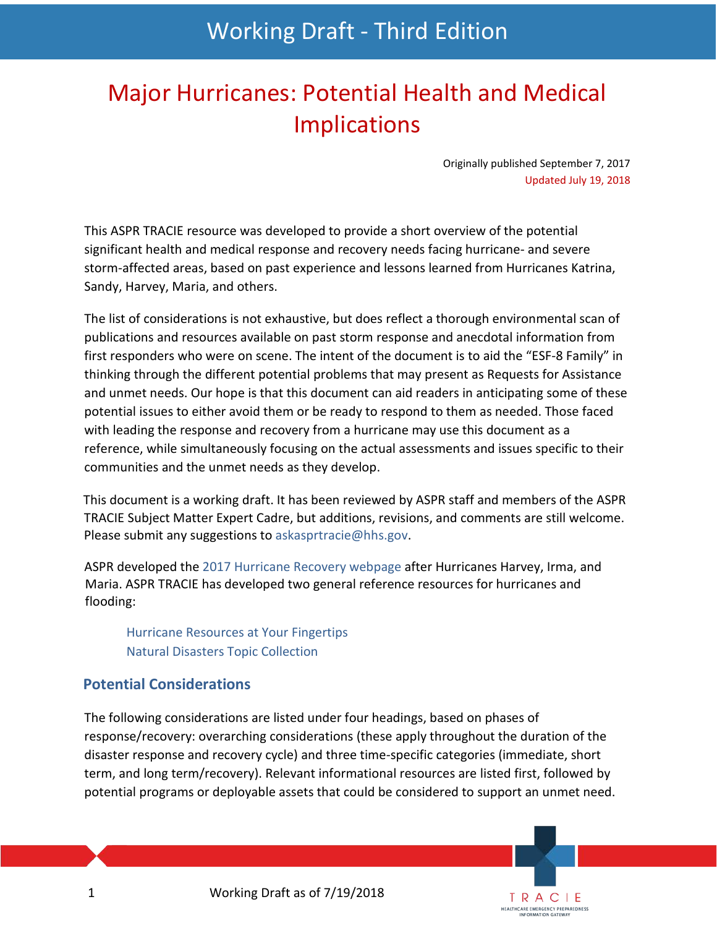# Working Draft - Third Edition

# Major Hurricanes: Potential Health and Medical Implications

Originally published September 7, 2017 Updated July 19, 2018

> TRACIE **HEALTHCARE EMERGENCY PREPAREDNESS**

This ASPR TRACIE resource was developed to provide a short overview of the potential significant health and medical response and recovery needs facing hurricane- and severe storm-affected areas, based on past experience and lessons learned from Hurricanes Katrina, Sandy, Harvey, Maria, and others.

The list of considerations is not exhaustive, but does reflect a thorough environmental scan of publications and resources available on past storm response and anecdotal information from first responders who were on scene. The intent of the document is to aid the "ESF-8 Family" in thinking through the different potential problems that may present as Requests for Assistance and unmet needs. Our hope is that this document can aid readers in anticipating some of these potential issues to either avoid them or be ready to respond to them as needed. Those faced with leading the response and recovery from a hurricane may use this document as a reference, while simultaneously focusing on the actual assessments and issues specific to their communities and the unmet needs as they develop.

This document is a working draft. It has been reviewed by ASPR staff and members of the ASPR TRACIE Subject Matter Expert Cadre, but additions, revisions, and comments are still welcome. Please submit any suggestions to [askasprtracie@hhs.gov.](mailto:askasprtracie@hhs.gov)

ASPR developed the [2017 Hurricane Recovery webpage](https://www.phe.gov/emergency/events/hurricanes2017/Pages/default.aspx) after Hurricanes Harvey, Irma, and Maria. ASPR TRACIE has developed two general reference resources for hurricanes and flooding:

[Hurricane Resources at Your Fingertips](https://asprtracie.s3.amazonaws.com/documents/aspr-tracie-hurricane-resources-at-your-fingertips.pdf) [Natural Disasters Topic Collection](https://asprtracie.hhs.gov/technical-resources/36/natural-disasters/27)

## **Potential Considerations**

The following considerations are listed under four headings, based on phases of response/recovery: overarching considerations (these apply throughout the duration of the disaster response and recovery cycle) and three time-specific categories (immediate, short term, and long term/recovery). Relevant informational resources are listed first, followed by potential programs or deployable assets that could be considered to support an unmet need.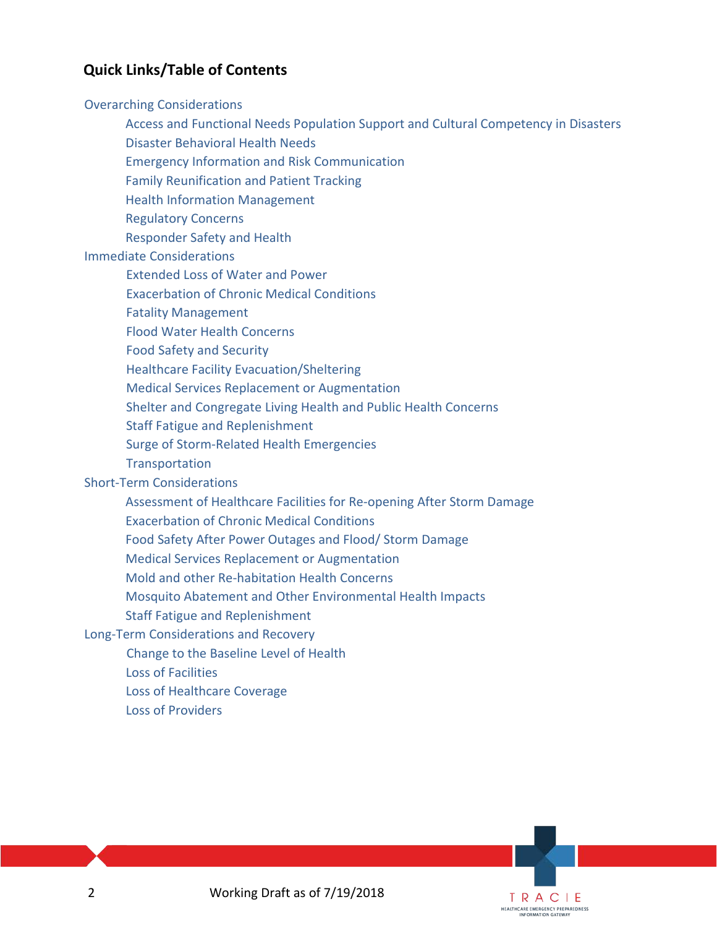# **Quick Links/Table of Contents**

#### [Overarching Considerations](#page-2-0)

- [Access and Functional Needs Population Support and Cultural Competency in Disasters](#page-2-1)
- [Disaster Behavioral Health Needs](#page-2-2)
- [Emergency Information and Risk Communication](#page-3-0)
- [Family Reunification and Patient Tracking](#page-3-1)
- [Health Information Management](#page-4-0)
- [Regulatory Concerns](#page-4-1)
- [Responder Safety and Health](#page-5-0)

#### [Immediate Considerations](#page-5-1)

- [Extended Loss of Water](#page-5-2) and Power
- Exacerbation of Chronic [Medical Conditions](#page-5-3)
- [Fatality Management](#page-7-0)
- [Flood Water Health Concerns](#page-8-0)
- [Food Safety and Security](#page-8-1)
- [Healthcare Facility Evacuation/Sheltering](#page-9-0)
- Medical Services Replacement [or Augmentation](#page-9-1)
- Shelter and Congregate [Living Health and Public Health Concerns](#page-10-0)
- Staff [Fatigue and Replenishment](#page-11-0)
- [Surge of Storm-Related Health Emergencies](#page-11-1)
- **Transportation**

#### [Short-Term Considerations](#page-14-0)

- [Assessment of Healthcare Facilities for Re-opening After Storm Damage](#page-14-1)
- [Exacerbation of Chronic Medical Conditions](#page-14-2)
- [Food Safety After Power Outages and Flood/ Storm Damage](#page-16-0)
- [Medical Services Replacement or Augmentation](#page-16-1)
- [Mold and other Re-habitation Health Concerns](#page-17-0)
- [Mosquito Abatement and Other Environmental Health Impacts](#page-17-1)
- [Staff Fatigue and Replenishment](#page-18-0)

#### [Long-Term Considerations and Recovery](#page-19-0)

- [Change to the Baseline Level of Health](#page-19-1)
- [Loss of Facilities](#page-19-2)
- [Loss of Healthcare Coverage](#page-20-0)
- Loss of Providers

TRACIE **HEALTHCARE EMERGENCY PREPAREDNESS** INFORMATION GATEWAY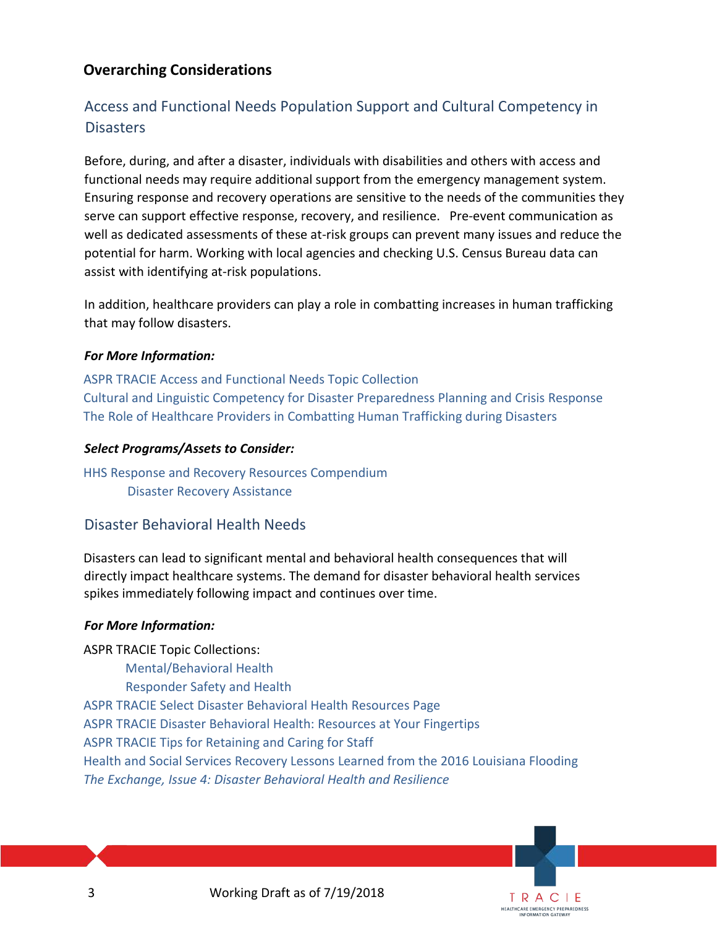# <span id="page-2-0"></span>**Overarching Considerations**

# <span id="page-2-1"></span>Access and Functional Needs Population Support and Cultural Competency in **Disasters**

Before, during, and after a disaster, individuals with disabilities and others with access and functional needs may require additional support from the emergency management system. Ensuring response and recovery operations are sensitive to the needs of the communities they serve can support effective response, recovery, and resilience. Pre-event communication as well as dedicated assessments of these at-risk groups can prevent many issues and reduce the potential for harm. Working with local agencies and checking U.S. Census Bureau data can assist with identifying at-risk populations.

In addition, healthcare providers can play a role in combatting increases in human trafficking that may follow disasters.

#### *For More Information:*

[ASPR TRACIE Access and Functional Needs Topic Collection](https://asprtracie.hhs.gov/technical-resources/62/access-and-functional-needs-at-risk-populations-vulnerable-populations-cmist/60) [Cultural and Linguistic Competency for Disaster Preparedness Planning and Crisis Response](https://www.phe.gov/Preparedness/planning/abc/Pages/linguistic.aspx) [The Role of Healthcare Providers in Combatting Human Trafficking during Disasters](https://www.phe.gov/Preparedness/planning/abc/Pages/human-trafficking.aspx)

#### *Select Programs/Assets to Consider:*

[HHS Response and Recovery Resources Compendium](https://www.phe.gov/emergency/hhscapabilities/Pages/default.aspx) [Disaster Recovery Assistance](https://www.phe.gov/emergency/hhscapabilities/Pages/Disaster%20Recovery%20Assistance.aspx)

## <span id="page-2-2"></span>Disaster Behavioral Health Needs

Disasters can lead to significant mental and behavioral health consequences that will directly impact healthcare systems. The demand for disaster behavioral health services spikes immediately following impact and continues over time.

#### *For More Information:*

ASPR TRACIE Topic Collections:

 [Mental/Behavioral Health](https://asprtracie.hhs.gov/technical-resources/68/mental-behavioral-health-non-responders/60) [Responder Safety and Health](https://asprtracie.hhs.gov/technical-resources/72/responder-safety-and-health/60) [ASPR TRACIE Select Disaster Behavioral Health Resources Page](https://asprtracie.hhs.gov/dbh-resources) [ASPR TRACIE Disaster Behavioral Health: Resources at Your Fingertips](https://asprtracie.s3.amazonaws.com/documents/aspr-tracie-dbh-resources-at-your-fingertips.pdf) [ASPR TRACIE Tips for Retaining and Caring for Staff](https://asprtracie.s3.amazonaws.com/documents/tips-for-retaining-and-caring-for-staff-after-disaster.pdf) [Health and Social Services Recovery Lessons Learned from the 2016 Louisiana Flooding](https://asprtracie.s3.amazonaws.com/documents/aspr-tracie-recovery-lessons-learned-webinar-ppt-final-508.pdf) *[The Exchange, Issue 4: Disaster Behavioral Health and Resilience](https://asprtracie.s3.amazonaws.com/documents/aspr-tracie-the-exchange-newsletter-vol2-issue1.pdf)*

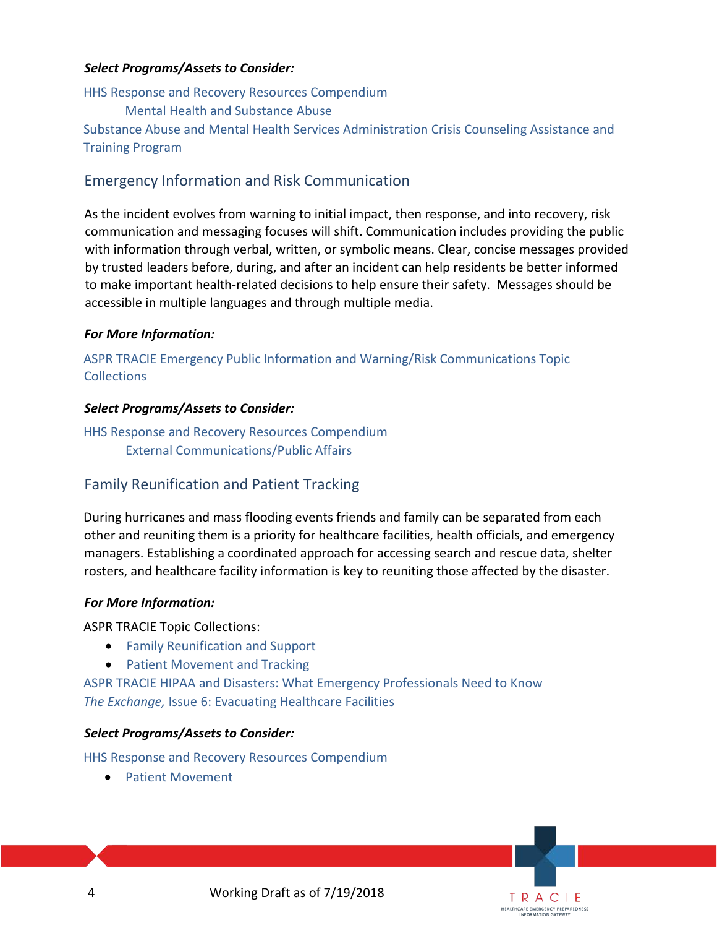#### *Select Programs/Assets to Consider:*

[HHS Response and Recovery Resources Compendium](https://www.phe.gov/emergency/hhscapabilities/Pages/default.aspx) [Mental Health and Substance Abuse](https://www.phe.gov/emergency/hhscapabilities/Pages/Mental%20health%20and%20substance%20abuse%20care.aspx) 

[Substance Abuse and Mental Health Services Administration Crisis Counseling Assistance and](https://www.samhsa.gov/dtac/ccp)  [Training Program](https://www.samhsa.gov/dtac/ccp)

## <span id="page-3-0"></span>Emergency Information and Risk Communication

As the incident evolves from warning to initial impact, then response, and into recovery, risk communication and messaging focuses will shift. Communication includes providing the public with information through verbal, written, or symbolic means. Clear, concise messages provided by trusted leaders before, during, and after an incident can help residents be better informed to make important health-related decisions to help ensure their safety. Messages should be accessible in multiple languages and through multiple media.

#### *For More Information:*

[ASPR TRACIE Emergency Public Information and Warning/Risk Communications Topic](https://asprtracie.hhs.gov/technical-resources/79/emncy-public-information-and-warning-risk-communications/77)  **[Collections](https://asprtracie.hhs.gov/technical-resources/79/emncy-public-information-and-warning-risk-communications/77)** 

#### *Select Programs/Assets to Consider:*

[HHS Response and Recovery Resources Compendium](https://www.phe.gov/emergency/hhscapabilities/Pages/default.aspx) [External Communications/Public Affairs](https://www.phe.gov/emergency/hhscapabilities/Pages/External%20Communications%20Public%20Affairs.aspx)

# <span id="page-3-1"></span>Family Reunification and Patient Tracking

During hurricanes and mass flooding events friends and family can be separated from each other and reuniting them is a priority for healthcare facilities, health officials, and emergency managers. Establishing a coordinated approach for accessing search and rescue data, shelter rosters, and healthcare facility information is key to reuniting those affected by the disaster.

#### *For More Information:*

ASPR TRACIE Topic Collections:

- [Family Reunification and Support](https://asprtracie.hhs.gov/technical-resources/64/family-reunification-and-support/60)
- [Patient Movement and Tracking](https://asprtracie.hhs.gov/technical-resources/70/patient-movement-and-trackingforward-movement-of-patients-tracking-and-tracking-systems/60)

[ASPR TRACIE HIPAA and Disasters: What Emergency Professionals Need to Know](https://asprtracie.s3.amazonaws.com/documents/aspr-tracie-hipaa-emergency-fact-sheet.pdf) *The Exchange,* [Issue 6: Evacuating Healthcare Facilities](https://asprtracie.s3.amazonaws.com/documents/aspr-tracie-the-exchange-issue-6.pdf)

#### *Select Programs/Assets to Consider:*

[HHS Response and Recovery Resources Compendium](https://www.phe.gov/emergency/hhscapabilities/Pages/default.aspx)

• [Patient Movement](https://www.phe.gov/emergency/hhscapabilities/Pages/Patient%20movement.aspx)

4 Working Draft as of 7/19/2018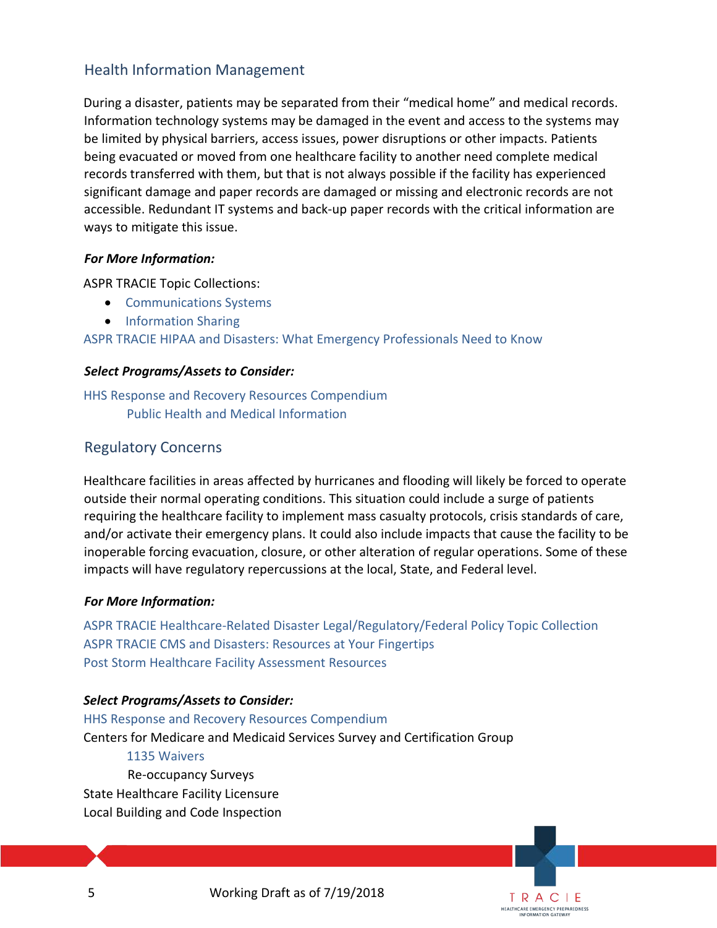# <span id="page-4-0"></span>Health Information Management

During a disaster, patients may be separated from their "medical home" and medical records. Information technology systems may be damaged in the event and access to the systems may be limited by physical barriers, access issues, power disruptions or other impacts. Patients being evacuated or moved from one healthcare facility to another need complete medical records transferred with them, but that is not always possible if the facility has experienced significant damage and paper records are damaged or missing and electronic records are not accessible. Redundant IT systems and back-up paper records with the critical information are ways to mitigate this issue.

#### *For More Information:*

ASPR TRACIE Topic Collections:

- [Communications Systems](https://asprtracie.hhs.gov/technical-resources/78/communication-systems/77)
- [Information Sharing](https://asprtracie.hhs.gov/technical-resources/80/information-sharing-partners-and-employees/77)

[ASPR TRACIE HIPAA and Disasters: What Emergency Professionals Need to Know](https://asprtracie.s3.amazonaws.com/documents/aspr-tracie-hipaa-emergency-fact-sheet.pdf)

## *Select Programs/Assets to Consider:*

[HHS Response and Recovery Resources Compendium](https://www.phe.gov/emergency/hhscapabilities/Pages/default.aspx) [Public Health and Medical Information](https://www.phe.gov/emergency/hhscapabilities/Pages/Public%20health%20and%20medical%20information.aspx)

# <span id="page-4-1"></span>Regulatory Concerns

Healthcare facilities in areas affected by hurricanes and flooding will likely be forced to operate outside their normal operating conditions. This situation could include a surge of patients requiring the healthcare facility to implement mass casualty protocols, crisis standards of care, and/or activate their emergency plans. It could also include impacts that cause the facility to be inoperable forcing evacuation, closure, or other alteration of regular operations. Some of these impacts will have regulatory repercussions at the local, State, and Federal level.

#### *For More Information:*

[ASPR TRACIE Healthcare-Related Disaster Legal/Regulatory/Federal Policy Topic Collection](https://asprtracie.hhs.gov/technical-resources/83/healthcare-related-disaster-legal-regulatory-federal-policy/1) [ASPR TRACIE CMS and Disasters: Resources at Your Fingertips](https://asprtracie.s3.amazonaws.com/documents/cms-and-disasters-resources-at-your-fingertips.pdf) [Post Storm Healthcare Facility Assessment Resources](#page-23-0)

## *Select Programs/Assets to Consider:*

[HHS Response and Recovery Resources Compendium](https://www.phe.gov/emergency/hhscapabilities/Pages/default.aspx) Centers for Medicare and Medicaid Services Survey and Certification Group [1135 Waivers](https://www.cms.gov/Medicare/Provider-Enrollment-and-Certification/SurveyCertEmergPrep/1135-Waivers.html) Re-occupancy Surveys State Healthcare Facility Licensure Local Building and Code Inspection

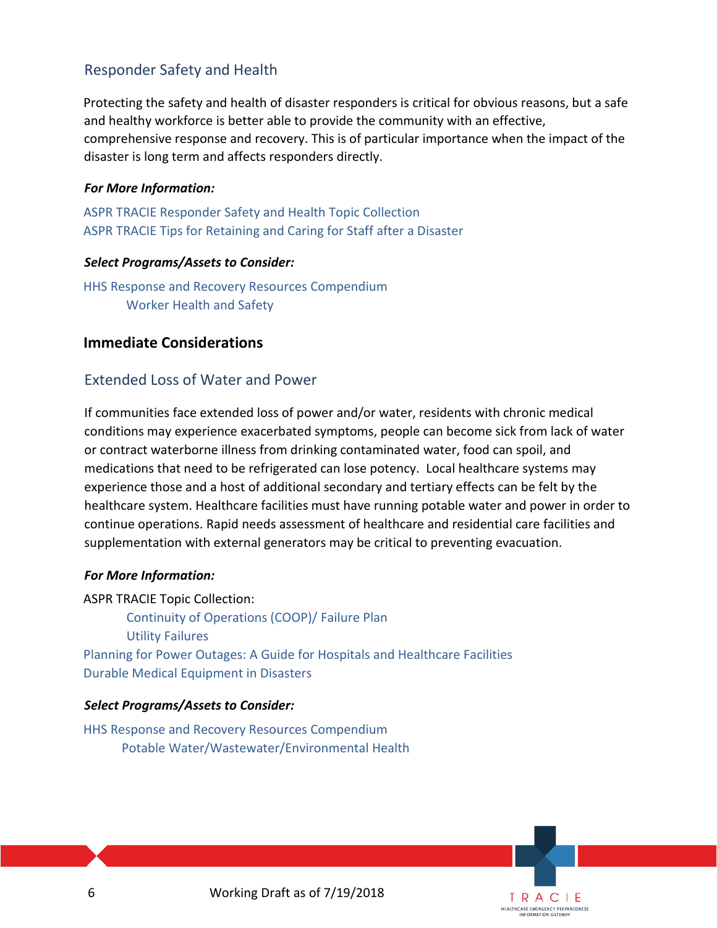# <span id="page-5-0"></span>Responder Safety and Health

Protecting the safety and health of disaster responders is critical for obvious reasons, but a safe and healthy workforce is better able to provide the community with an effective, comprehensive response and recovery. This is of particular importance when the impact of the disaster is long term and affects responders directly.

#### *For More Information:*

[ASPR TRACIE Responder Safety and Health Topic Collection](https://asprtracie.hhs.gov/technical-resources/72/responder-safety-and-health/60) [ASPR TRACIE Tips for Retaining](https://asprtracie.s3.amazonaws.com/documents/tips-for-retaining-and-caring-for-staff-after-disaster.pdf) [and Caring for](https://asprtracie.s3.amazonaws.com/documents/tips-for-retaining-and-caring-for-staff-after-disaster.pdf) [Staff](https://asprtracie.s3.amazonaws.com/documents/tips-for-retaining-and-caring-for-staff-after-disaster.pdf) [after a Disaster](https://asprtracie.s3.amazonaws.com/documents/tips-for-retaining-and-caring-for-staff-after-disaster.pdf)

#### *Select Programs/Assets to Consider:*

[HHS Response and Recovery Resources Compendium](https://www.phe.gov/emergency/hhscapabilities/Pages/default.aspx) [Worker Health and Safety](https://www.phe.gov/emergency/hhscapabilities/Pages/Worker%20health%20and%20safety.aspx)

## <span id="page-5-1"></span>**Immediate Considerations**

## <span id="page-5-2"></span>Extended Loss of Water and Power

If communities face extended loss of power and/or water, residents with chronic medical conditions may experience exacerbated symptoms, people can become sick from lack of water or contract waterborne illness from drinking contaminated water, food can spoil, and medications that need to be refrigerated can lose potency. Local healthcare systems may experience those and a host of additional secondary and tertiary effects can be felt by the healthcare system. Healthcare facilities must have running potable water and power in order to continue operations. Rapid needs assessment of healthcare and residential care facilities and supplementation with external generators may be critical to preventing evacuation.

#### *For More Information:*

ASPR TRACIE Topic Collection: [Continuity of Operations \(COOP\)/ Failure Plan](https://asprtracie.hhs.gov/technical-resources/17/continuity-of-operations-coop-failure-plan/16) [Utility Failures](https://asprtracie.hhs.gov/technical-resources/35/utility-failures-blackouts-potable-water/27)  [Planning for Power Outages: A Guide for Hospitals and Healthcare Facilities](https://www.phe.gov/Preparedness/planning/cip/Documents/healthcare-energy.pdf) [Durable Medical Equipment in Disasters](https://asprtracie.s3.amazonaws.com/documents/aspr-tracie-durable-medical-equipment-in-disasters.pdf)

#### *Select Programs/Assets to Consider:*

<span id="page-5-3"></span>[HHS Response and Recovery Resources Compendium](https://www.phe.gov/emergency/hhscapabilities/Pages/default.aspx) [Potable Water/Wastewater/Environmental Health](https://www.phe.gov/emergency/hhscapabilities/Pages/Potable%20waterWastewater%20Environmental%20Health.aspx)

6 Working Draft as of 7/19/2018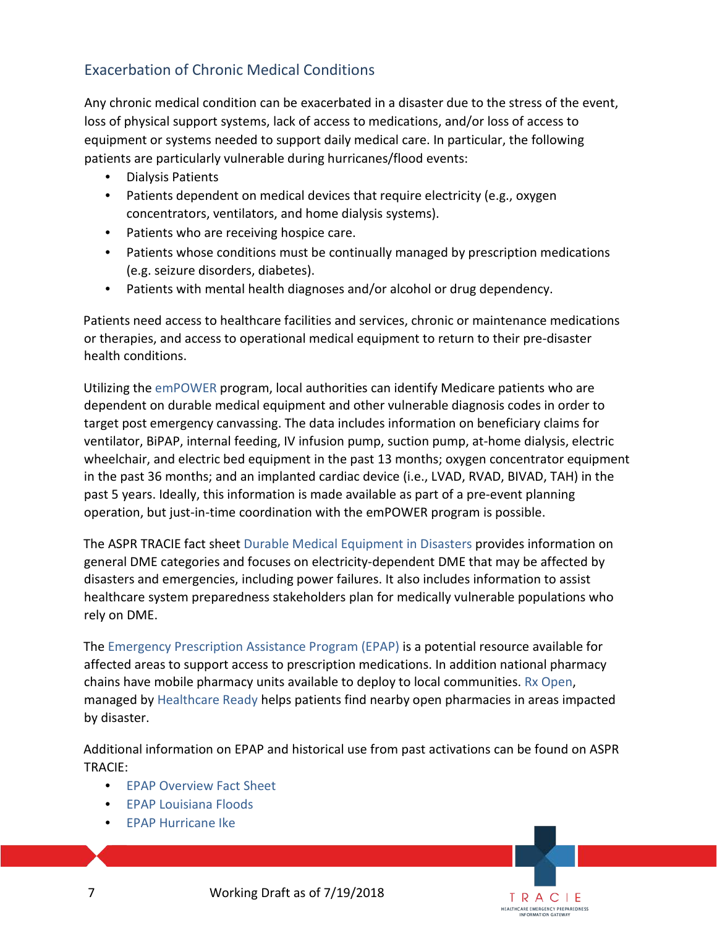# Exacerbation of Chronic Medical Conditions

Any chronic medical condition can be exacerbated in a disaster due to the stress of the event, loss of physical support systems, lack of access to medications, and/or loss of access to equipment or systems needed to support daily medical care. In particular, the following patients are particularly vulnerable during hurricanes/flood events:

- Dialysis Patients
- Patients dependent on medical devices that require electricity (e.g., oxygen concentrators, ventilators, and home dialysis systems).
- Patients who are receiving hospice care.
- Patients whose conditions must be continually managed by prescription medications (e.g. seizure disorders, diabetes).
- Patients with mental health diagnoses and/or alcohol or drug dependency.

Patients need access to healthcare facilities and services, chronic or maintenance medications or therapies, and access to operational medical equipment to return to their pre-disaster health conditions.

Utilizing the [emPOWER](https://empowermap.hhs.gov/) program, local authorities can identify Medicare patients who are dependent on durable medical equipment and other vulnerable diagnosis codes in order to target post emergency canvassing. The data includes information on beneficiary claims for ventilator, BiPAP, internal feeding, IV infusion pump, suction pump, at-home dialysis, electric wheelchair, and electric bed equipment in the past 13 months; oxygen concentrator equipment in the past 36 months; and an implanted cardiac device (i.e., LVAD, RVAD, BIVAD, TAH) in the past 5 years. Ideally, this information is made available as part of a pre-event planning operation, but just-in-time coordination with the emPOWER program is possible.

The ASPR TRACIE fact sheet [Durable Medical Equipment in Disasters](https://asprtracie.s3.amazonaws.com/documents/aspr-tracie-durable-medical-equipment-in-disasters.pdf) provides information on general DME categories and focuses on electricity-dependent DME that may be affected by disasters and emergencies, including power failures. It also includes information to assist healthcare system preparedness stakeholders plan for medically vulnerable populations who rely on DME.

The [Emergency Prescription Assistance Program](https://www.phe.gov/Preparedness/planning/epap/Pages/default.aspx) [\(](https://www.phe.gov/Preparedness/planning/epap/Pages/default.aspx)EPAP) is a potential resource available for affected areas to support access to prescription medications. In addition national pharmacy chains have mobile pharmacy units available to deploy to local communities. [Rx Open,](https://www.healthcareready.org/rxopen) managed by [Healthcare Ready](https://www.healthcareready.org/) helps patients find nearby open pharmacies in areas impacted by disaster.

Additional information on EPAP and historical use from past activations can be found on ASPR TRACIE:

> TRACIE **HEALTHCARE EMERGENCY PREPAREDNESS**

- [EPAP Overview Fact Sheet](https://asprtracie.s3.amazonaws.com/documents/emergency-prescription-assistance-program-factsheet.pdf)
- [EPAP Louisiana Floods](https://asprtracie.s3.amazonaws.com/documents/epap-louisiana-floods-factsheet.pdf)
- [EPAP Hurricane Ike](https://asprtracie.s3.amazonaws.com/documents/epap-hurricane-ike-factsheet.pdf)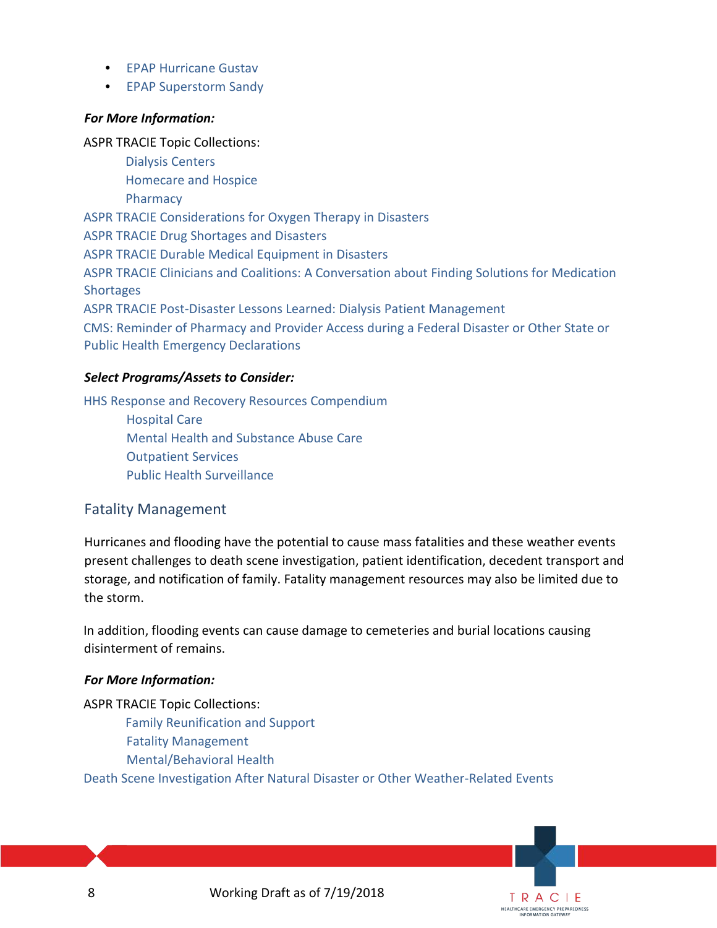- [EPAP Hurricane Gustav](https://asprtracie.s3.amazonaws.com/documents/epap-hurricane-gustav-factsheet.pdf)
- [EPAP Superstorm Sandy](https://asprtracie.s3.amazonaws.com/documents/epap-superstorm-sandy-factsheet.pdf)

#### *For More Information:*

ASPR TRACIE Topic Collections:

 [Dialysis Centers](https://asprtracie.hhs.gov/technical-resources/50/dialysis-centers/47) [Homecare and Hospice](https://asprtracie.hhs.gov/technical-resources/51/homecare-and-hospice/47) [Pharmacy](https://asprtracie.hhs.gov/technical-resources/53/pharmacy/47)  [ASPR TRACIE Considerations for Oxygen Therapy in Disasters](https://asprtracie.s3.amazonaws.com/documents/aspr-tracie-ta-oxygen-therapy.pdf) [ASPR TRACIE Drug Shortages and Disasters](https://asprtracie.s3.amazonaws.com/documents/tracie-drug-shortages-factsheet.pdf) [ASPR TRACIE Durable Medical Equipment in Disasters](https://asprtracie.s3.amazonaws.com/documents/aspr-tracie-durable-medical-equipment-in-disasters.pdf) [ASPR TRACIE Clinicians and Coalitions: A Conversation about Finding Solutions for Medication](https://asprtracie.s3.amazonaws.com/documents/aspr-tracie-medication-shortages-webinar-508.pdf)  **[Shortages](https://asprtracie.s3.amazonaws.com/documents/aspr-tracie-medication-shortages-webinar-508.pdf)** [ASPR TRACIE Post-Disaster Lessons Learned: Dialysis Patient Management](https://asprtracie.s3.amazonaws.com/documents/aspr-tracie-ta-post-disaster-dialysis-best-practices.pdf) [CMS: Reminder of Pharmacy and Provider Access during a Federal Disaster or Other State](https://www.cms.gov/About-CMS/Agency-Information/Emergency/Downloads/Disaster-Provider-Access.pdf) or [Public Health Emergency Declarations](https://www.cms.gov/About-CMS/Agency-Information/Emergency/Downloads/Disaster-Provider-Access.pdf)

#### *Select Programs/Assets to Consider:*

[HHS Response and Recovery Resources Compendium](https://www.phe.gov/emergency/hhscapabilities/Pages/default.aspx)

[Hospital Care](https://www.phe.gov/emergency/hhscapabilities/Pages/Hospital%20care.aspx) [Mental Health and Substance Abuse Care](https://www.phe.gov/emergency/hhscapabilities/Pages/Mental%20health%20and%20substance%20abuse%20care.aspx) [Outpatient Services](https://www.phe.gov/emergency/hhscapabilities/Pages/Outpatient%20services.aspx) [Public Health Surveillance](https://www.phe.gov/emergency/hhscapabilities/Pages/Public%20health%20surveillance.aspx)

# <span id="page-7-0"></span>Fatality Management

Hurricanes and flooding have the potential to cause mass fatalities and these weather events present challenges to death scene investigation, patient identification, decedent transport and storage, and notification of family. Fatality management resources may also be limited due to the storm.

In addition, flooding events can cause damage to cemeteries and burial locations causing disinterment of remains.

#### *For More Information:*

ASPR TRACIE Topic Collections: [Family Reunification and Support](https://asprtracie.hhs.gov/technical-resources/64/family-reunification-and-support/60) [Fatality Management](https://asprtracie.hhs.gov/technical-resources/65/fatality-management/60) [Mental/Behavioral Health](https://asprtracie.hhs.gov/technical-resources/68/mental-behavioral-health-non-responders/60) [Death Scene Investigation After Natural Disaster or Other Weather-Related Events](https://www.cdc.gov/nceh/hsb/disaster/docs/DeathSceneInvestigation508.pdf)

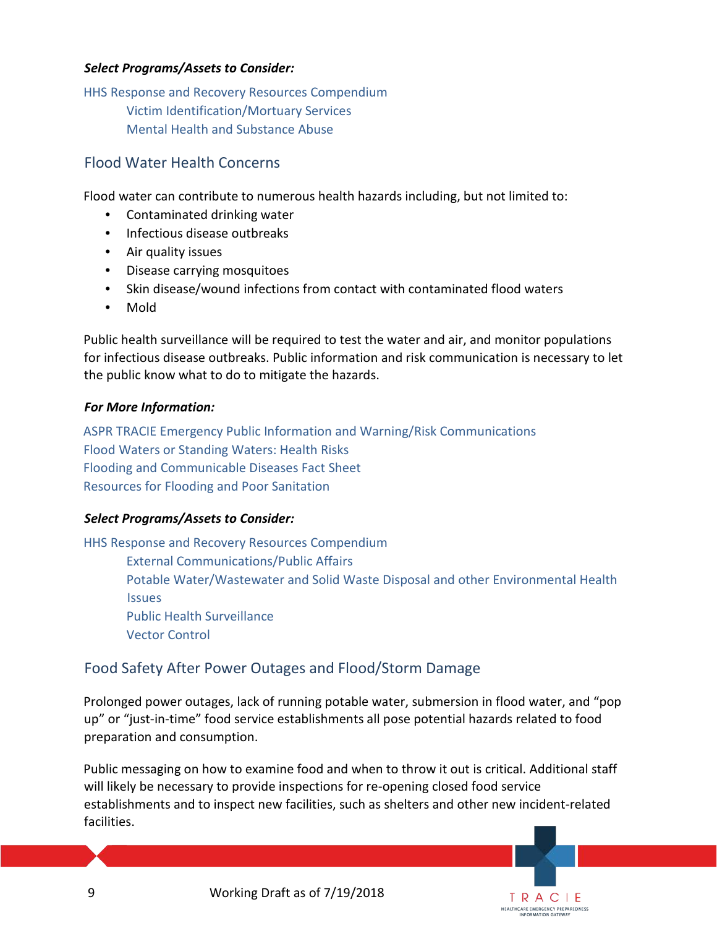#### *Select Programs/Assets to Consider:*

[HHS Response and Recovery Resources Compendium](https://www.phe.gov/emergency/hhscapabilities/Pages/default.aspx) [Victim Identification/Mortuary Services](https://www.phe.gov/emergency/hhscapabilities/Pages/Victim%20identification%20mortuary%20services.aspx) [Mental Health and Substance Abuse](https://www.phe.gov/emergency/hhscapabilities/Pages/Mental%20health%20and%20substance%20abuse%20care.aspx)

## <span id="page-8-0"></span>Flood Water Health Concerns

Flood water can contribute to numerous health hazards including, but not limited to:

- Contaminated drinking water
- Infectious disease outbreaks
- Air quality issues
- Disease carrying mosquitoes
- Skin disease/wound infections from contact with contaminated flood waters
- Mold

Public health surveillance will be required to test the water and air, and monitor populations for infectious disease outbreaks. Public information and risk communication is necessary to let the public know what to do to mitigate the hazards.

#### *For More Information:*

[ASPR TRACIE Emergency Public Information and Warning/Risk Communications](https://asprtracie.hhs.gov/technical-resources/79/emncy-public-information-and-warning-risk-communications/77) [Flood Waters or Standing Waters: Health Risks](https://www.cdc.gov/healthywater/emergency/extreme-weather/floods-standingwater.html) [Flooding and Communicable Diseases Fact Sheet](http://www.who.int/hac/techguidance/ems/flood_cds/en/) [Resources for Flooding and Poor Sanitation](http://www.cochranelibrary.com/app/content/special-collections/article/?doi=10.1002/%28ISSN%2914651858%28CAT%29EvidenceAidFreeaccesstoreviews%28VI%29CochraneEvidenceAidresourcesforfloodingandpoorwatersanitation)

#### *Select Programs/Assets to Consider:*

[HHS Response and Recovery Resources Compendium](https://www.phe.gov/emergency/hhscapabilities/Pages/default.aspx)

[External Communications/Public Affairs](https://www.phe.gov/emergency/hhscapabilities/Pages/External%20Communications%20Public%20Affairs.aspx)

[Potable Water/Wastewater and Solid Waste Disposal and other Environmental Health](https://www.phe.gov/emergency/hhscapabilities/Pages/Potable%20waterWastewater%20Environmental%20Health.aspx)  [Issues](https://www.phe.gov/emergency/hhscapabilities/Pages/Potable%20waterWastewater%20Environmental%20Health.aspx) [Public Health Surveillance](https://www.phe.gov/emergency/hhscapabilities/Pages/Public%20health%20surveillance.aspx) [Vector Control](https://www.phe.gov/emergency/hhscapabilities/Pages/Vector%20control.aspx)

# <span id="page-8-1"></span>Food Safety After Power Outages and Flood/Storm Damage

Prolonged power outages, lack of running potable water, submersion in flood water, and "pop up" or "just-in-time" food service establishments all pose potential hazards related to food preparation and consumption.

Public messaging on how to examine food and when to throw it out is critical. Additional staff will likely be necessary to provide inspections for re-opening closed food service establishments and to inspect new facilities, such as shelters and other new incident-related facilities.

> TRACIE **HEALTHCARE EMERGENCY PREPAREDNESS** INFORMATION GATEWAY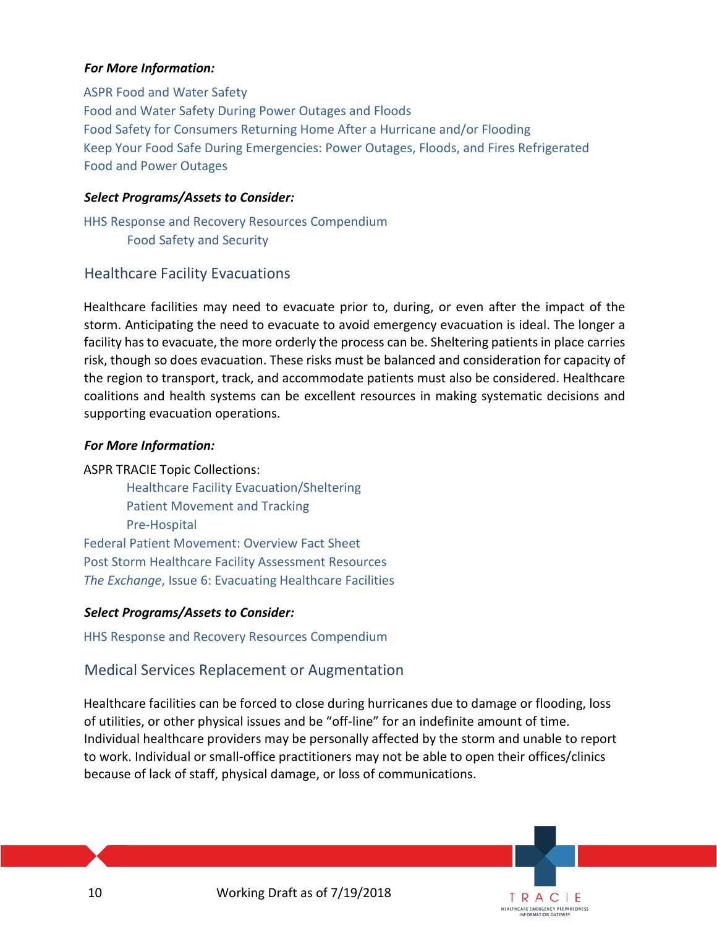#### *For More Information:*

[ASPR Food and Water Safety](https://www.phe.gov/emergency/events/harvey2017/Pages/food-safety.aspx) [Food and Water Safety During Power Outages and Floods](https://www.fda.gov/food/resourcesforyou/consumers/ucm076881.htm) [Food Safety for Consumers Returning Home After a Hurricane and/or Flooding](https://www.fda.gov/Food/RecallsOutbreaksEmergencies/Emergencies/ucm076993.htm) [Keep Your Food Safe During Emergencies: Power Outages, Floods, and Fires](https://www.fsis.usda.gov/wps/wcm/connect/d3506874-2867-4190-a941-d511d3fcae71/Keep_Your_Food_Safe_During_Emergencies.pdf?MOD=AJPERES) [Refrigerated](https://www.foodsafety.gov/keep/charts/refridg_food.html)  [Food and Power Outages](https://www.foodsafety.gov/keep/charts/refridg_food.html)

#### *Select Programs/Assets to Consider:*

[HHS Response and Recovery Resources Compendium](https://www.phe.gov/emergency/hhscapabilities/Pages/default.aspx) [Food Safety and Security](https://www.phe.gov/emergency/hhscapabilities/Pages/Food%20safety%20and%20security.aspx)

#### <span id="page-9-0"></span>Healthcare Facility Evacuations

Healthcare facilities may need to evacuate prior to, during, or even after the impact of the storm. Anticipating the need to evacuate to avoid emergency evacuation is ideal. The longer a facility has to evacuate, the more orderly the process can be. Sheltering patients in place carries risk, though so does evacuation. These risks must be balanced and consideration for capacity of the region to transport, track, and accommodate patients must also be considered. Healthcare coalitions and health systems can be excellent resources in making systematic decisions and supporting evacuation operations.

#### *For More Information:*

ASPR TRACIE Topic Collections: [Healthcare Facility Evacuation/Sheltering](https://asprtracie.hhs.gov/technical-resources/57/healthcare-facility-evacuation-sheltering/56) [Patient Movement and Tracking](https://asprtracie.hhs.gov/technical-resources/70/patient-movement-and-trackingforward-movement-of-patients-tracking-and-tracking-systems/60)  [Pre-Hospital](https://asprtracie.hhs.gov/technical-resources/54/pre-hospital-emncy-medical-services-ems-rescue-first-responder-mass-gathering/47)  [Federal Patient Movement: Overview Fact Sheet](https://asprtracie.s3.amazonaws.com/documents/aspr-tracie-federal-patient-movement-overview-factsheet.pdf) [Post Storm Healthcare Facility Assessment Resources](#page-23-0) *The Exchange*[, Issue 6: Evacuating Healthcare Facilities](https://asprtracie.s3.amazonaws.com/documents/aspr-tracie-the-exchange-issue-6.pdf)

#### *Select Programs/Assets to Consider:*

<span id="page-9-1"></span>[HHS Response and Recovery Resources Compendium](https://www.phe.gov/emergency/hhscapabilities/Pages/default.aspx)

#### Medical Services Replacement or Augmentation

Healthcare facilities can be forced to close during hurricanes due to damage or flooding, loss of utilities, or other physical issues and be "off-line" for an indefinite amount of time. Individual healthcare providers may be personally affected by the storm and unable to report to work. Individual or small-office practitioners may not be able to open their offices/clinics because of lack of staff, physical damage, or loss of communications.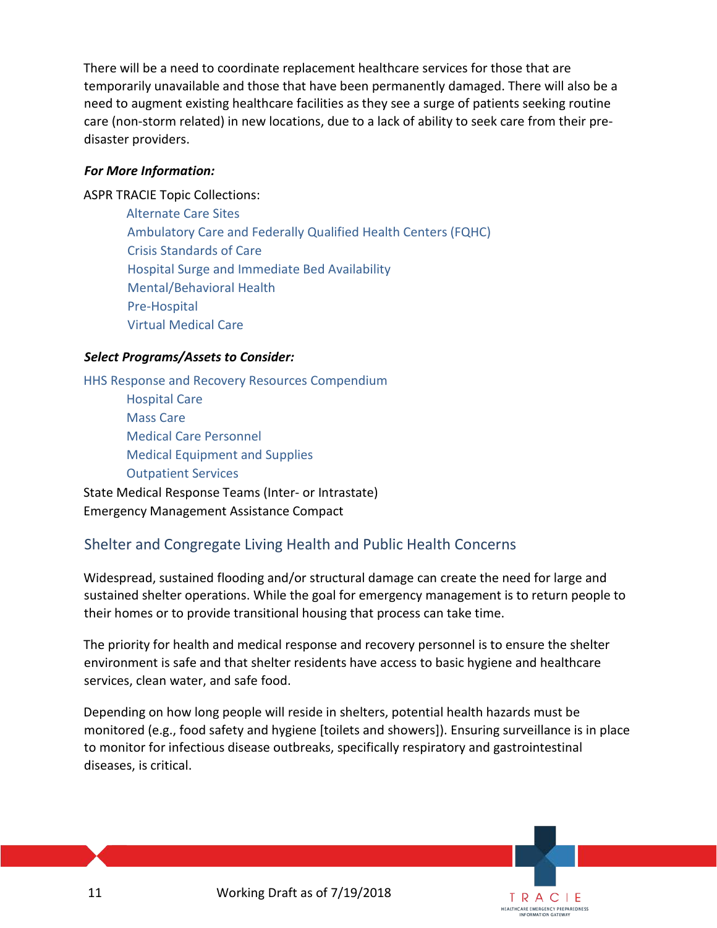There will be a need to coordinate replacement healthcare services for those that are temporarily unavailable and those that have been permanently damaged. There will also be a need to augment existing healthcare facilities as they see a surge of patients seeking routine care (non-storm related) in new locations, due to a lack of ability to seek care from their predisaster providers.

## *For More Information:*

ASPR TRACIE Topic Collections:

 [Alternate Care Sites](https://asprtracie.hhs.gov/technical-resources/48/alternate-care-sites-including-shelter-medical-care/47) [Ambulatory Care and Federally Qualified Health Centers \(FQHC\)](https://asprtracie.hhs.gov/technical-resources/49/ambulatory-care-and-federally-qualified-health-centers-fqhc/47) [Crisis Standards of Care](https://asprtracie.hhs.gov/technical-resources/63/crisis-standards-of-care/60) [Hospital Surge and Immediate Bed Availability](https://asprtracie.hhs.gov/technical-resources/58/hospital-surge-capacity-and-immediate-bed-availability/56) [Mental/Behavioral Health](https://asprtracie.hhs.gov/technical-resources/68/mental-behavioral-health-non-responders/60) [Pre-Hospital](https://asprtracie.hhs.gov/technical-resources/54/pre-hospital-emncy-medical-services-ems-rescue-first-responder-mass-gathering/47) [Virtual Medical Care](https://asprtracie.hhs.gov/technical-resources/55/virtual-medical-care-telemedicine-nurse-triage-lines/47)

#### *Select Programs/Assets to Consider:*

HHS Response and [Recovery Resources Compendium](https://www.phe.gov/emergency/hhscapabilities/Pages/default.aspx) [Hospital Care](https://www.phe.gov/emergency/hhscapabilities/Pages/Hospital%20care.aspx) [Mass Care](https://www.phe.gov/emergency/hhscapabilities/Pages/Outpatient%20services.aspx) [Medical Care Personnel](https://www.phe.gov/emergency/hhscapabilities/Pages/Medical%20care%20personnel.aspx) [Medical Equipment and Supplies](https://www.phe.gov/emergency/hhscapabilities/Pages/Medical%20equipment%20and%20supplies.aspx) [Outpatient Services](https://www.phe.gov/emergency/hhscapabilities/Pages/Outpatient%20services.aspx) State Medical Response Teams (Inter- or Intrastate)

<span id="page-10-0"></span>Emergency Management Assistance Compact

# Shelter and Congregate Living Health and Public Health Concerns

Widespread, sustained flooding and/or structural damage can create the need for large and sustained shelter operations. While the goal for emergency management is to return people to their homes or to provide transitional housing that process can take time.

The priority for health and medical response and recovery personnel is to ensure the shelter environment is safe and that shelter residents have access to basic hygiene and healthcare services, clean water, and safe food.

Depending on how long people will reside in shelters, potential health hazards must be monitored (e.g., food safety and hygiene [toilets and showers]). Ensuring surveillance is in place to monitor for infectious disease outbreaks, specifically respiratory and gastrointestinal diseases, is critical.

> TRACIE **HEALTHCARE EMERGENCY PREPAREDNESS**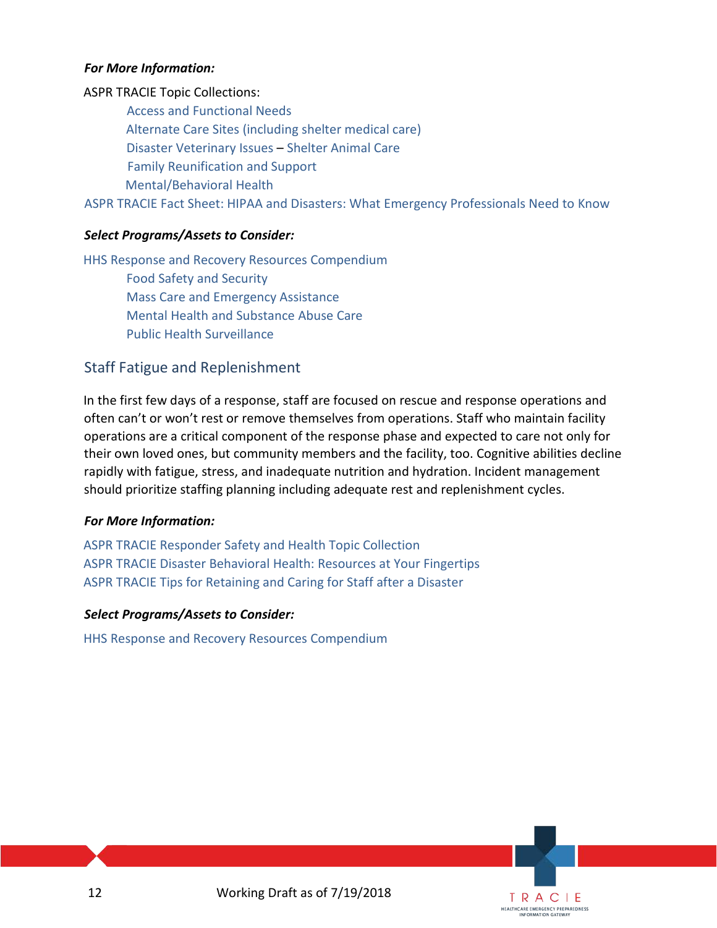#### *For More Information:*

ASPR TRACIE Topic Collections: [Access and Functional Needs](https://asprtracie.hhs.gov/technical-resources/62/access-and-functional-needs-at-risk-populations-vulnerable-populations-cmist/60) Alternate [Care Sites \(including shelter medical care\)](https://asprtracie.hhs.gov/technical-resources/48/alternate-care-sites-including-shelter-medical-care/47) [Disaster Veterinary Issues](https://asprtracie.hhs.gov/technical-resources/81/disaster-veterinary-issues/0) – [Shelter Animal Care](https://asprtracie.hhs.gov/technical-resources/81/disaster-veterinary-issues/0#shelter-animal-care) [Family Reunification and Support](https://asprtracie.hhs.gov/technical-resources/64/family-reunification-and-support/60) [Mental/Behavioral Health](https://asprtracie.hhs.gov/technical-resources/68/mental-behavioral-health-non-responders/60)

[ASPR TRACIE Fact Sheet: HIPAA and Disasters: What Emergency Professionals Need to Know](https://asprtracie.s3.amazonaws.com/documents/aspr-tracie-hipaa-emergency-fact-sheet.pdf)

#### *Select Programs/Assets to Consider:*

[HHS Response and Recovery Resources Compendium](https://www.phe.gov/emergency/hhscapabilities/Pages/default.aspx) [Food Safety and Security](https://www.phe.gov/emergency/hhscapabilities/Pages/Food%20safety%20and%20security.aspx) [Mass Care and Emergency Assistance](https://www.phe.gov/emergency/hhscapabilities/Pages/Mass%20Care,%20Emergency%20Assistance.aspx) [Mental Health and Substance Abuse Care](https://www.phe.gov/emergency/hhscapabilities/Pages/Mental%20health%20and%20substance%20abuse%20care.aspx)  [Public Health Surveillance](https://www.phe.gov/emergency/hhscapabilities/Pages/Public%20health%20surveillance.aspx)

## <span id="page-11-0"></span>Staff Fatigue and Replenishment

In the first few days of a response, staff are focused on rescue and response operations and often can't or won't rest or remove themselves from operations. Staff who maintain facility operations are a critical component of the response phase and expected to care not only for their own loved ones, but community members and the facility, too. Cognitive abilities decline rapidly with fatigue, stress, and inadequate nutrition and hydration. Incident management should prioritize staffing planning including adequate rest and replenishment cycles.

#### *For More Information:*

[ASPR TRACIE Responder Safety and Health Topic Collection](https://asprtracie.hhs.gov/technical-resources/72/responder-safety-and-health/60) [ASPR TRACIE Disaster Behavioral Health: Resources at Your Fingertips](https://asprtracie.s3.amazonaws.com/documents/aspr-tracie-dbh-resources-at-your-fingertips.pdf) [ASPR TRACIE Tips for Retaining and Caring for Staff after a Disaster](https://asprtracie.s3.amazonaws.com/documents/tips-for-retaining-and-caring-for-staff-after-disaster.pdf) 

#### *Select Programs/Assets to Consider:*

<span id="page-11-1"></span>[HHS Response and Recovery Resources Compendium](https://www.phe.gov/emergency/hhscapabilities/Pages/default.aspx)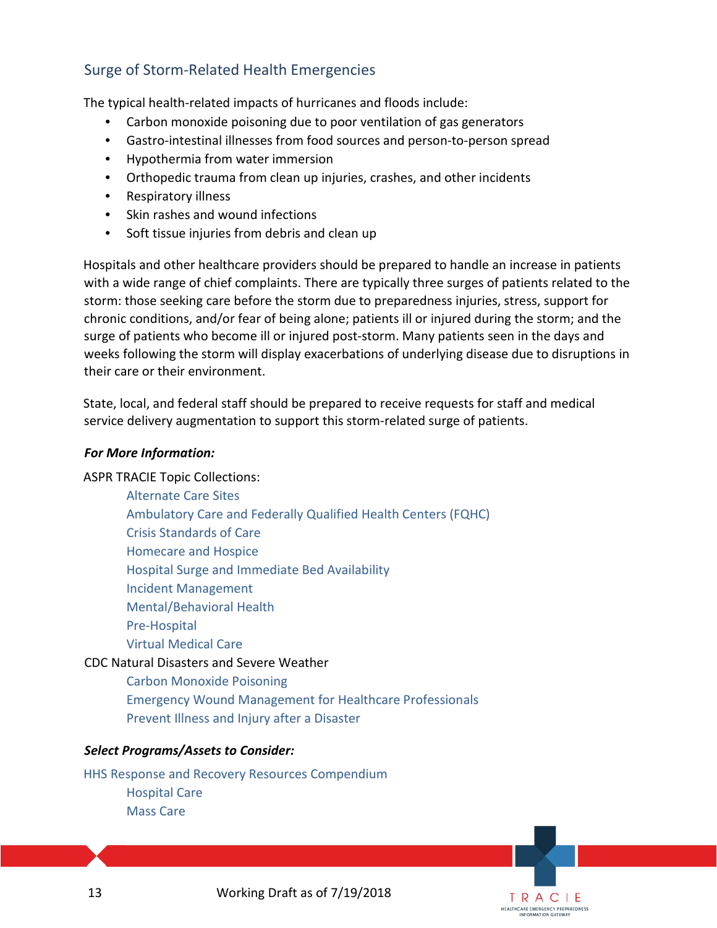# Surge of Storm-Related Health Emergencies

The typical health-related impacts of hurricanes and floods include:

- Carbon monoxide poisoning due to poor ventilation of gas generators
- Gastro-intestinal illnesses from food sources and person-to-person spread
- Hypothermia from water immersion
- Orthopedic trauma from clean up injuries, crashes, and other incidents
- Respiratory illness
- Skin rashes and wound infections
- Soft tissue injuries from debris and clean up

Hospitals and other healthcare providers should be prepared to handle an increase in patients with a wide range of chief complaints. There are typically three surges of patients related to the storm: those seeking care before the storm due to preparedness injuries, stress, support for chronic conditions, and/or fear of being alone; patients ill or injured during the storm; and the surge of patients who become ill or injured post-storm. Many patients seen in the days and weeks following the storm will display exacerbations of underlying disease due to disruptions in their care or their environment.

State, local, and federal staff should be prepared to receive requests for staff and medical service delivery augmentation to support this storm-related surge of patients.

#### *For More Information:*

ASPR TRACIE Topic Collections:

[Alternate Care Sites](https://asprtracie.hhs.gov/technical-resources/48/alternate-care-sites-including-shelter-medical-care/47) [Ambulatory Care and Federally Qualified Health Centers \(FQHC\)](https://asprtracie.hhs.gov/technical-resources/49/ambulatory-care-and-federally-qualified-health-centers-fqhc/47) [Crisis Standards of Care](https://asprtracie.hhs.gov/technical-resources/63/crisis-standards-of-care/60) [Homecare and Hospice](https://asprtracie.hhs.gov/technical-resources/51/homecare-and-hospice/47) [Hospital Surge and Immediate Bed Availability](https://asprtracie.hhs.gov/technical-resources/58/hospital-surge-capacity-and-immediate-bed-availability/56) [Incident Management](https://asprtracie.hhs.gov/technical-resources/14/incident-management-hospital-incident-command-system-eoc-operations-multi-agency-coordination-demobilization/1) [Mental/Behavioral Health](https://asprtracie.hhs.gov/technical-resources/68/mental-behavioral-health-non-responders/60) [Pre-Hospital](https://asprtracie.hhs.gov/technical-resources/54/pre-hospital-emncy-medical-services-ems-rescue-first-responder-mass-gathering/47) [Virtual Medical Care](https://asprtracie.hhs.gov/technical-resources/55/virtual-medical-care-telemedicine-nurse-triage-lines/47) CDC Natural Disasters and Severe Weather

[Carbon Monoxide Poisoning](https://www.cdc.gov/co/default.htm)  [Emergency Wound Management for Healthcare Professionals](https://www.cdc.gov/disasters/emergwoundhcp.html) [Prevent Illness and Injury after a Disaster](https://www.cdc.gov/disasters/illness-injury.html)

#### *Select Programs/Assets to Consider:*

[HHS Response and Recovery Resources Compendium](https://www.phe.gov/emergency/hhscapabilities/Pages/default.aspx) [Hospital Care](https://www.phe.gov/emergency/hhscapabilities/Pages/Hospital%20care.aspx) [Mass Care](https://www.phe.gov/emergency/hhscapabilities/Pages/Outpatient%20services.aspx)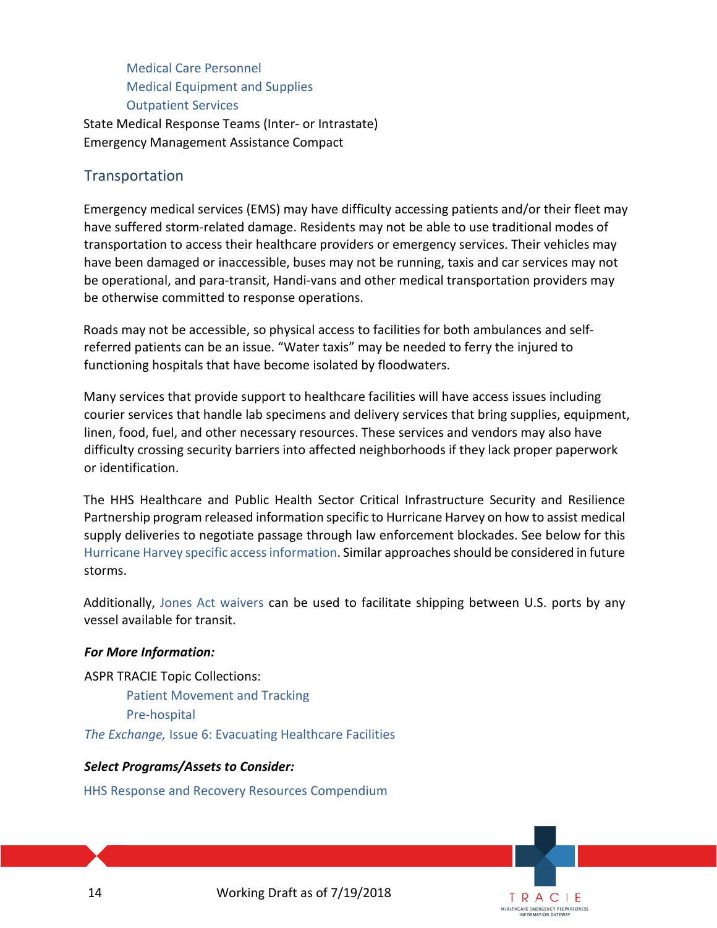[Medical Care Personnel](https://www.phe.gov/emergency/hhscapabilities/Pages/Medical%20care%20personnel.aspx) [Medical Equipment and Supplies](https://www.phe.gov/emergency/hhscapabilities/Pages/Medical%20equipment%20and%20supplies.aspx) [Outpatient Services](https://www.phe.gov/emergency/hhscapabilities/Pages/Outpatient%20services.aspx)

State Medical Response Teams (Inter- or Intrastate) Emergency Management Assistance Compact

# <span id="page-13-0"></span>**Transportation**

Emergency medical services (EMS) may have difficulty accessing patients and/or their fleet may have suffered storm-related damage. Residents may not be able to use traditional modes of transportation to access their healthcare providers or emergency services. Their vehicles may have been damaged or inaccessible, buses may not be running, taxis and car services may not be operational, and para-transit, Handi-vans and other medical transportation providers may be otherwise committed to response operations.

Roads may not be accessible, so physical access to facilities for both ambulances and selfreferred patients can be an issue. "Water taxis" may be needed to ferry the injured to functioning hospitals that have become isolated by floodwaters.

Many services that provide support to healthcare facilities will have access issues including courier services that handle lab specimens and delivery services that bring supplies, equipment, linen, food, fuel, and other necessary resources. These services and vendors may also have difficulty crossing security barriers into affected neighborhoods if they lack proper paperwork or identification.

The HHS Healthcare and Public Health Sector Critical Infrastructure Security and Resilience Partnership program released information specific to Hurricane Harvey on how to assist medical supply deliveries to negotiate passage through law enforcement blockades. See below for this Hurricane Harvey specific access information. Similar approaches should be considered in future storms.

Additionally, [Jones Act waivers](https://www.dhs.gov/publication/september-2017-jones-act-waivers) can be used to facilitate shipping between U.S. ports by any vessel available for transit.

## *For More Information:*

ASPR TRACIE Topic Collections:

[Patient Movement and Tracking](https://asprtracie.hhs.gov/technical-resources/70/patient-movement-and-trackingforward-movement-of-patients-tracking-and-tracking-systems/60) [Pre-hospital](https://asprtracie.hhs.gov/technical-resources/54/pre-hospital-emncy-medical-services-ems-rescue-first-responder-mass-gathering/47) *The Exchange,* [Issue 6: Evacuating Healthcare Facilities](https://asprtracie.s3.amazonaws.com/documents/aspr-tracie-the-exchange-issue-6.pdf) 

#### *Select Programs/Assets to Consider:*

[HHS Response and Recovery Resources Compendium](https://www.phe.gov/emergency/hhscapabilities/Pages/default.aspx)

14 Working Draft as of 7/19/2018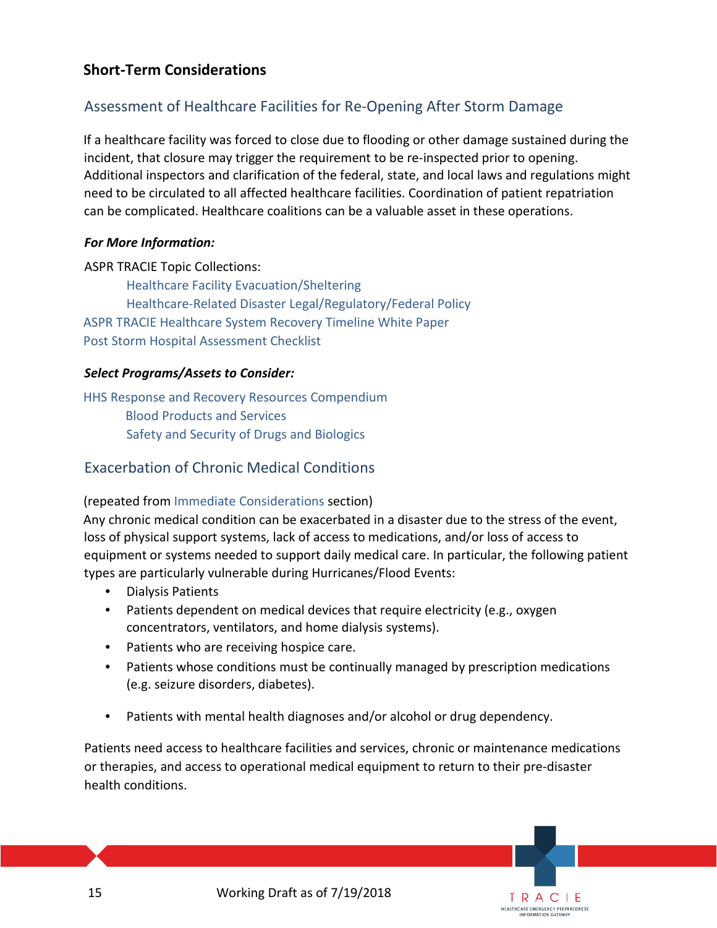# <span id="page-14-0"></span>**Short-Term Considerations**

# <span id="page-14-1"></span>Assessment of Healthcare Facilities for Re-Opening After Storm Damage

If a healthcare facility was forced to close due to flooding or other damage sustained during the incident, that closure may trigger the requirement to be re-inspected prior to opening. Additional inspectors and clarification of the federal, state, and local laws and regulations might need to be circulated to all affected healthcare facilities. Coordination of patient repatriation can be complicated. Healthcare coalitions can be a valuable asset in these operations.

#### *For More Information:*

ASPR TRACIE Topic Collections: [Healthcare Facility Evacuation/Sheltering](https://asprtracie.hhs.gov/technical-resources/57/healthcare-facility-evacuation-sheltering/56) [Healthcare-Related Disaster Legal/Regulatory/Federal Policy](https://asprtracie.hhs.gov/technical-resources/83/healthcare-related-disaster-legal-regulatory-federal-policy/1)  [ASPR TRACIE Healthcare System Recovery Timeline White Paper](https://asprtracie.s3.amazonaws.com/documents/aspr-tracie-ta-healthcare-facility-recovery-timeline-white-paper.pdf) [Post Storm Hospital Assessment Checklist](#page-23-0)

## *Select Programs/Assets to Consider:*

[HHS Response and Recovery Resources Compendium](https://www.phe.gov/emergency/hhscapabilities/Pages/default.aspx) [Blood Products and Services](https://www.phe.gov/emergency/hhscapabilities/Pages/Blood%20products%20and%20services.aspx)  [Safety and Security of Drugs and Biologics](https://www.phe.gov/emergency/hhscapabilities/Pages/Safety%20Security%20of%20Drugs%20and%20Biologics.aspx)

# <span id="page-14-2"></span>Exacerbation of Chronic Medical Conditions

## (repeated fro[m Immediate Considerations](#page-5-3) section)

Any chronic medical condition can be exacerbated in a disaster due to the stress of the event, loss of physical support systems, lack of access to medications, and/or loss of access to equipment or systems needed to support daily medical care. In particular, the following patient types are particularly vulnerable during Hurricanes/Flood Events:

- Dialysis Patients
- Patients dependent on medical devices that require electricity (e.g., oxygen concentrators, ventilators, and home dialysis systems).
- Patients who are receiving hospice care.
- Patients whose conditions must be continually managed by prescription medications (e.g. seizure disorders, diabetes).
- Patients with mental health diagnoses and/or alcohol or drug dependency.

Patients need access to healthcare facilities and services, chronic or maintenance medications or therapies, and access to operational medical equipment to return to their pre-disaster health conditions.

> TRACIE **HEALTHCARE EMERGENCY PREPAREDNESS**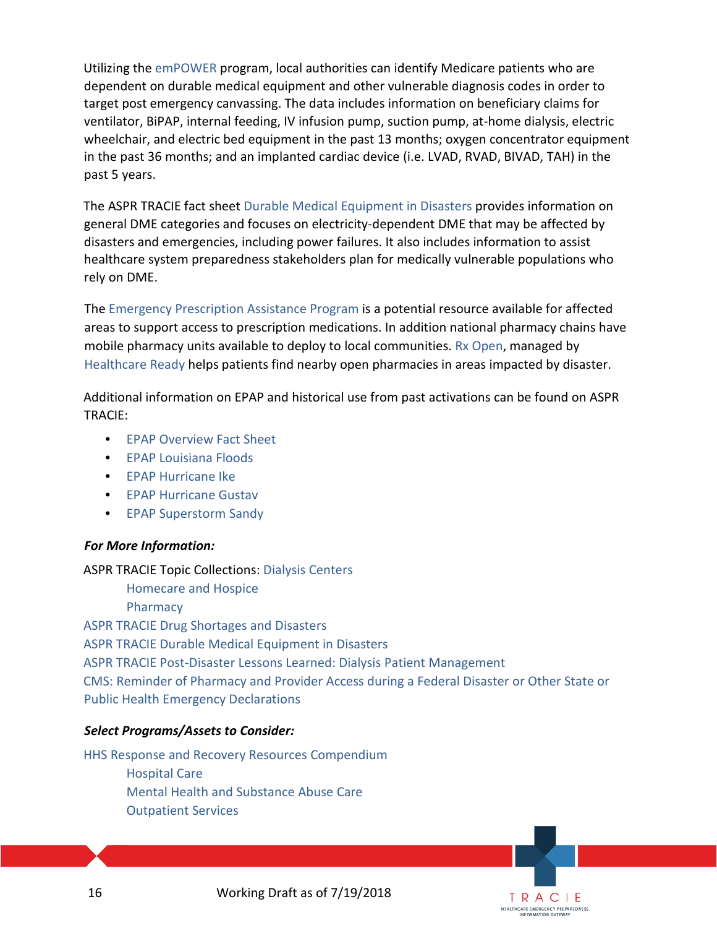Utilizing the [emPOWER](https://empowermap.hhs.gov/) program, local authorities can identify Medicare patients who are dependent on durable medical equipment and other vulnerable diagnosis codes in order to target post emergency canvassing. The data includes information on beneficiary claims for ventilator, BiPAP, internal feeding, IV infusion pump, suction pump, at-home dialysis, electric wheelchair, and electric bed equipment in the past 13 months; oxygen concentrator equipment in the past 36 months; and an implanted cardiac device (i.e. LVAD, RVAD, BIVAD, TAH) in the past 5 years.

The ASPR TRACIE fact sheet [Durable Medical Equipment in Disasters](https://asprtracie.s3.amazonaws.com/documents/aspr-tracie-durable-medical-equipment-in-disasters.pdf) provides information on general DME categories and focuses on electricity-dependent DME that may be affected by disasters and emergencies, including power failures. It also includes information to assist healthcare system preparedness stakeholders plan for medically vulnerable populations who rely on DME.

The [Emergency Prescription Assistance Program](https://www.phe.gov/Preparedness/planning/epap/Pages/default.aspx) is a potential resource available for affected areas to support access to prescription medications. In addition national pharmacy chains have mobile pharmacy units available to deploy to local communities[. Rx Open,](https://www.healthcareready.org/rxopen) managed by [Healthcare Ready](https://www.healthcareready.org/) [h](https://www.healthcareready.org/)elps patients find nearby open pharmacies in areas impacted by disaster.

Additional information on EPAP and historical use from past activations can be found on ASPR TRACIE:

- [EPAP Overview Fact Sheet](https://asprtracie.s3.amazonaws.com/documents/emergency-prescription-assistance-program-factsheet.pdf)
- [EPAP Louisiana Floods](https://asprtracie.s3.amazonaws.com/documents/epap-louisiana-floods-factsheet.pdf)
- [EPAP Hurricane Ike](https://asprtracie.s3.amazonaws.com/documents/epap-hurricane-ike-factsheet.pdf)
- [EPAP Hurricane Gustav](https://asprtracie.s3.amazonaws.com/documents/epap-hurricane-gustav-factsheet.pdf)
- [EPAP Superstorm Sandy](https://asprtracie.s3.amazonaws.com/documents/epap-superstorm-sandy-factsheet.pdf)

#### *For More Information:*

ASPR TRACIE Topic Collections: [Dialysis Centers](https://asprtracie.hhs.gov/technical-resources/50/dialysis-centers/47) [Homecare and Hospice](https://asprtracie.hhs.gov/technical-resources/51/homecare-and-hospice/47) **Pharmacy** [ASPR TRACIE Drug Shortages and Disasters](https://asprtracie.s3.amazonaws.com/documents/tracie-drug-shortages-factsheet.pdf) [ASPR TRACIE Durable Medical Equipment in Disasters](https://asprtracie.s3.amazonaws.com/documents/aspr-tracie-durable-medical-equipment-in-disasters.pdf) [ASPR TRACIE Post-Disaster Lessons Learned: Dialysis Patient Management](https://asprtracie.s3.amazonaws.com/documents/aspr-tracie-ta-post-disaster-dialysis-best-practices.pdf) [CMS: Reminder of Pharmacy and Provider Access](https://www.cms.gov/About-CMS/Agency-Information/Emergency/Downloads/Disaster-Provider-Access.pdf) during a Federal Disaster or Other State or [Public Health Emergency Declarations](https://www.cms.gov/About-CMS/Agency-Information/Emergency/Downloads/Disaster-Provider-Access.pdf)

#### *Select Programs/Assets to Consider:*

[HHS Response and Recovery Resources Compendium](https://www.phe.gov/emergency/hhscapabilities/Pages/default.aspx) [Hospital Care](https://www.phe.gov/emergency/hhscapabilities/Pages/Hospital%20care.aspx) [Mental Health and Substance Abuse Care](https://www.phe.gov/emergency/hhscapabilities/Pages/Mental%20health%20and%20substance%20abuse%20care.aspx) [Outpatient Services](https://www.phe.gov/emergency/hhscapabilities/Pages/Outpatient%20services.aspx)



TRACIE **HEALTHCARE EMERGENCY PREPAREDNESS** INFORMATION GATEWAY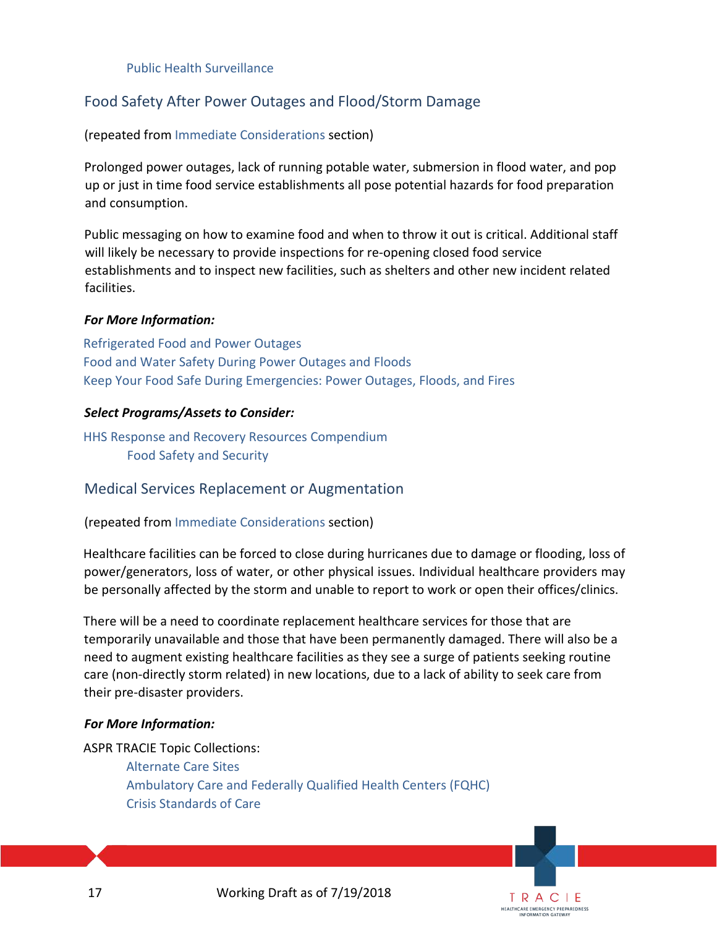[Public Health Surveillance](https://www.phe.gov/emergency/hhscapabilities/Pages/Public%20health%20surveillance.aspx) 

# <span id="page-16-0"></span>Food Safety After Power Outages and Flood/Storm Damage

(repeated from [Immediate Considerations](#page-8-1) section)

Prolonged power outages, lack of running potable water, submersion in flood water, and pop up or just in time food service establishments all pose potential hazards for food preparation and consumption.

Public messaging on how to examine food and when to throw it out is critical. Additional staff will likely be necessary to provide inspections for re-opening closed food service establishments and to inspect new facilities, such as shelters and other new incident related facilities.

#### *For More Information:*

[Refrigerated Food and Power Outages](https://www.foodsafety.gov/keep/charts/refridg_food.html) [Food and Water Safety During Power Outages and Floods](https://www.fda.gov/food/resourcesforyou/consumers/ucm076881.htm) [Keep Your Food Safe During Emergencies: Power Outages, Floods, and Fires](https://www.fsis.usda.gov/wps/wcm/connect/d3506874-2867-4190-a941-d511d3fcae71/Keep_Your_Food_Safe_During_Emergencies.pdf?MOD=AJPERES) 

#### *Select Programs/Assets to Consider:*

[HHS Response and Recovery Resources Compendium](https://www.phe.gov/emergency/hhscapabilities/Pages/default.aspx) [Food Safety and Security](https://www.phe.gov/emergency/hhscapabilities/Pages/Food%20safety%20and%20security.aspx)

## <span id="page-16-1"></span>Medical Services Replacement or Augmentation

(repeated from Immediate [Considerations](#page-9-1) section)

Healthcare facilities can be forced to close during hurricanes due to damage or flooding, loss of power/generators, loss of water, or other physical issues. Individual healthcare providers may be personally affected by the storm and unable to report to work or open their offices/clinics.

There will be a need to coordinate replacement healthcare services for those that are temporarily unavailable and those that have been permanently damaged. There will also be a need to augment existing healthcare facilities as they see a surge of patients seeking routine care (non-directly storm related) in new locations, due to a lack of ability to seek care from their pre-disaster providers.

#### *For More Information:*

ASPR TRACIE Topic Collections: [Alternate Care Sites](https://asprtracie.hhs.gov/technical-resources/48/alternate-care-sites-including-shelter-medical-care/47) [Ambulatory Care and Federally Qualified Health Centers \(FQHC\)](https://asprtracie.hhs.gov/technical-resources/49/ambulatory-care-and-federally-qualified-health-centers-fqhc/47) [Crisis Standards of Care](https://asprtracie.hhs.gov/technical-resources/63/crisis-standards-of-care/60)

17 Working Draft as of 7/19/2018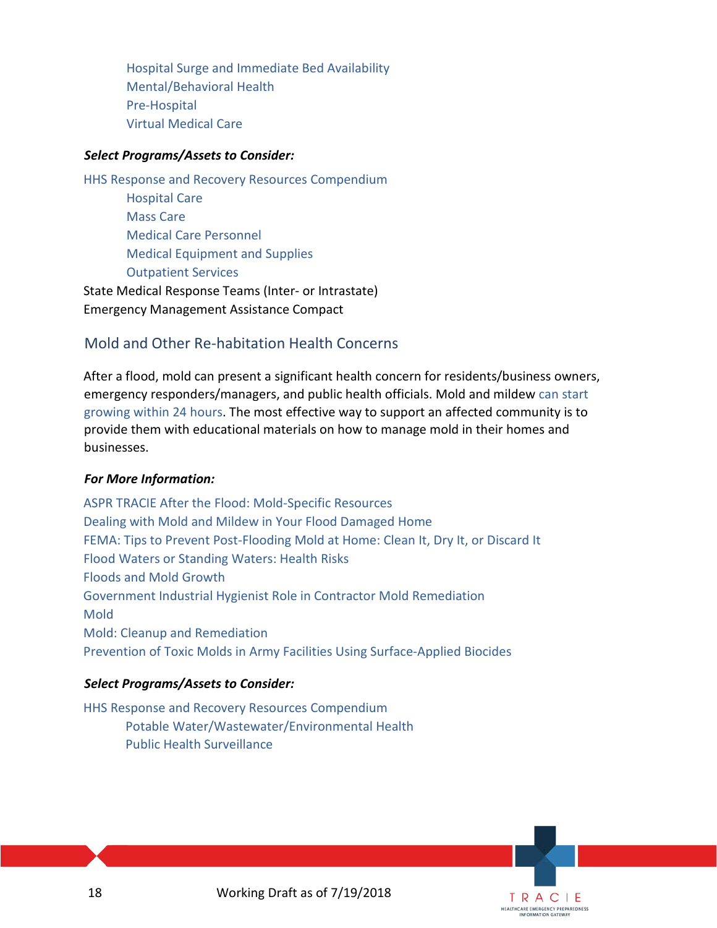[Hospital Surge and Immediate Bed Availability](https://asprtracie.hhs.gov/technical-resources/58/hospital-surge-capacity-and-immediate-bed-availability/56) [Mental/Behavioral Health](https://asprtracie.hhs.gov/technical-resources/68/mental-behavioral-health-non-responders/60) [Pre-Hospital](https://asprtracie.hhs.gov/technical-resources/54/pre-hospital-emncy-medical-services-ems-rescue-first-responder-mass-gathering/47) [Virtual Medical Care](https://asprtracie.hhs.gov/technical-resources/55/virtual-medical-care-telemedicine-nurse-triage-lines/47)

#### *Select Programs/Assets to Consider:*

[HHS Response and Recovery Resources Compendium](https://www.phe.gov/emergency/hhscapabilities/Pages/default.aspx) [Hospital Care](https://www.phe.gov/emergency/hhscapabilities/Pages/Hospital%20care.aspx) [Mass Care](https://www.phe.gov/emergency/hhscapabilities/Pages/Outpatient%20services.aspx) [Medical Care Personnel](https://www.phe.gov/emergency/hhscapabilities/Pages/Medical%20care%20personnel.aspx) [Medical Equipment and](https://www.phe.gov/emergency/hhscapabilities/Pages/Medical%20equipment%20and%20supplies.aspx) Supplie[s](https://www.phe.gov/emergency/hhscapabilities/Pages/Medical%20equipment%20and%20supplies.aspx) [Outpatient Services](https://www.phe.gov/emergency/hhscapabilities/Pages/Outpatient%20services.aspx) State Medical Response Teams (Inter- or Intrastate)

<span id="page-17-0"></span>Emergency Management Assistance Compact

# Mold and Other Re-habitation Health Concerns

After a flood, mold can present a significant health concern for residents/business owners, emergency responders/managers, and public health officials. Mold and mildew [can start](https://www.fema.gov/news-release/2012/09/07/tips-prevent-post-flooding-mold-home-clean-it-dry-it-or-discard-it)  [growing within 24 hours.](https://www.fema.gov/news-release/2012/09/07/tips-prevent-post-flooding-mold-home-clean-it-dry-it-or-discard-it) The most effective way to support an affected community is to provide them with educational materials on how to manage mold in their homes and businesses.

## *For More Information:*

[ASPR TRACIE After the Flood: Mold-Specific Resources](https://asprtracie.s3.amazonaws.com/documents/after-the-flood-mold-specific-resources.pdf) [Dealing with Mold and Mildew in Your Flood Damaged Home](https://www.fema.gov/pdf/rebuild/recover/fema_mold_brochure_english.pdf) [FEMA: Tips to Prevent Post-Flooding Mold at Home: Clean It, Dry It, or Discard It](https://www.fema.gov/news-release/2012/09/07/tips-prevent-post-flooding-mold-home-clean-it-dry-it-or-discard-it) [Flood Waters or Standing Waters: Health Risks](https://www.cdc.gov/healthywater/emergency/extreme-weather/floods-standingwater.html) [Floods and Mold Growth](https://www.epa.gov/mold/floods-and-mold-growth) [Government Industrial Hygienist Role in Contractor Mold Remediation](http://www.med.navy.mil/sites/nmcphc/Documents/industrial-hygiene/1000-1025_March14_Gov_IH_Role_Mold_Remediation.pdf) [Mold](https://www.niehs.nih.gov/health/topics/agents/mold/index.cfm) [Mold: Cleanup and Remediation](https://www.cdc.gov/mold/cleanup.htm) Prevention of Toxic Molds in Army Facilities Using Surface-Applied Biocides

## *Select Programs/Assets to Consider:*

<span id="page-17-1"></span>[HHS Response and Recovery Resources Compendium](https://www.phe.gov/emergency/hhscapabilities/Pages/default.aspx) [Potable Water/Wastewater/Environmental Health](https://www.phe.gov/emergency/hhscapabilities/Pages/Potable%20waterWastewater%20Environmental%20Health.aspx) [Public Health Surveillance](https://www.phe.gov/emergency/hhscapabilities/Pages/Public%20health%20surveillance.aspx)

18 Working Draft as of 7/19/2018

TRACIE **HEALTHCARE EMERGENCY PREPAREDNESS** INFORMATION GATEWAY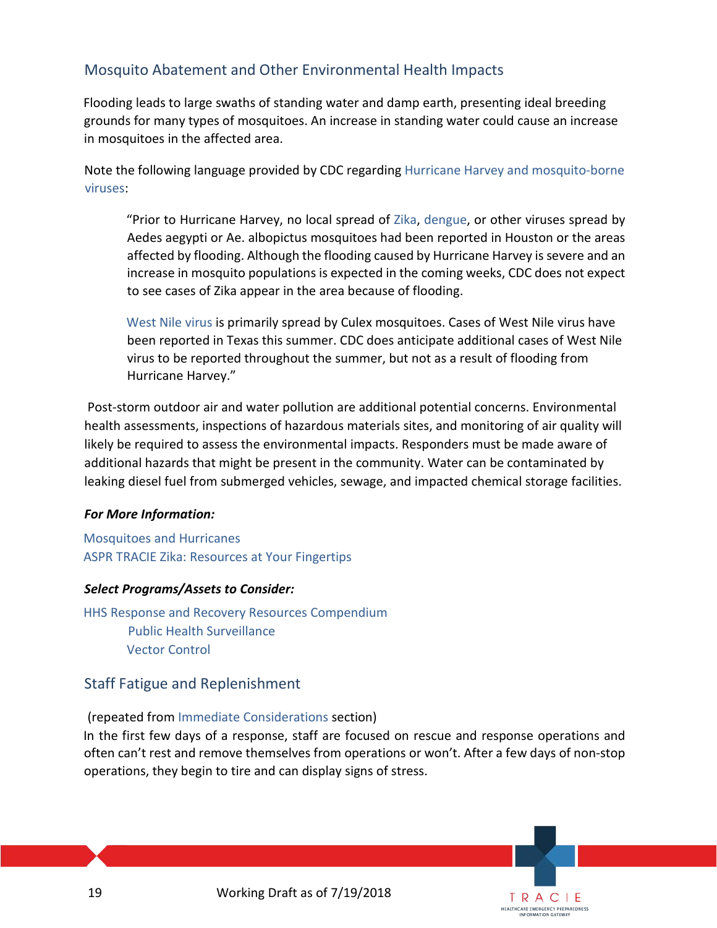# Mosquito Abatement and Other Environmental Health Impacts

Flooding leads to large swaths of standing water and damp earth, presenting ideal breeding grounds for many types of mosquitoes. An increase in standing water could cause an increase in mosquitoes in the affected area.

Note the following language provided by CDC regarding [Hurricane Harvey and mosquito-borne](https://www.cdc.gov/zika/vector/mosquitoes-and-hurricanes.html)  [viruses:](https://www.cdc.gov/zika/vector/mosquitoes-and-hurricanes.html) 

"Prior to Hurricane Harvey, no local spread of [Zika,](https://www.cdc.gov/zika/) [dengue,](https://www.cdc.gov/dengue/) or other viruses spread by Aedes aegypti or Ae. albopictus mosquitoes had been reported in Houston or the areas affected by flooding. Although the flooding caused by Hurricane Harvey is severe and an increase in mosquito populations is expected in the coming weeks, CDC does not expect to see cases of Zika appear in the area because of flooding.

[West](https://www.cdc.gov/westnile/index.html) [Nile virus](https://www.cdc.gov/westnile/index.html) is primarily spread by Culex mosquitoes. Cases of West Nile virus have been reported in Texas this summer. CDC does anticipate additional cases of West Nile virus to be reported throughout the summer, but not as a result of flooding from Hurricane Harvey."

Post-storm outdoor air and water pollution are additional potential concerns. Environmental health assessments, inspections of hazardous materials sites, and monitoring of air quality will likely be required to assess the environmental impacts. Responders must be made aware of additional hazards that might be present in the community. Water can be contaminated by leaking diesel fuel from submerged vehicles, sewage, and impacted chemical storage facilities.

#### *For More Information:*

Mosquitoes [and Hurricanes](https://www.cdc.gov/zika/vector/mosquitoes-and-hurricanes.html) [ASPR TRACIE Zika: Resources at Your Fingertips](https://asprtracie.s3.amazonaws.com/documents/aspr-tracie-zika-virus-disease-resources-at-your-fingertips.pdf)

## *Select Programs/Assets to Consider:*

[HHS Response and Recovery Resources](https://www.phe.gov/emergency/hhscapabilities/Pages/default.aspx) [Compendium](https://www.phe.gov/emergency/hhscapabilities/Pages/default.aspx) [Public Health Surveillance](https://www.phe.gov/emergency/hhscapabilities/Pages/Public%20health%20surveillance.aspx) [Vector Control](https://www.phe.gov/emergency/hhscapabilities/Pages/Vector%20control.aspx)

# <span id="page-18-0"></span>Staff Fatigue and Replenishment

## (repeated from [Immediate Considerations](#page-11-0) section)

In the first few days of a response, staff are focused on rescue and response operations and often can't rest and remove themselves from operations or won't. After a few days of non-stop operations, they begin to tire and can display signs of stress.

> TRACIE **HEALTHCARE EMERGENCY PREPAREDNESS**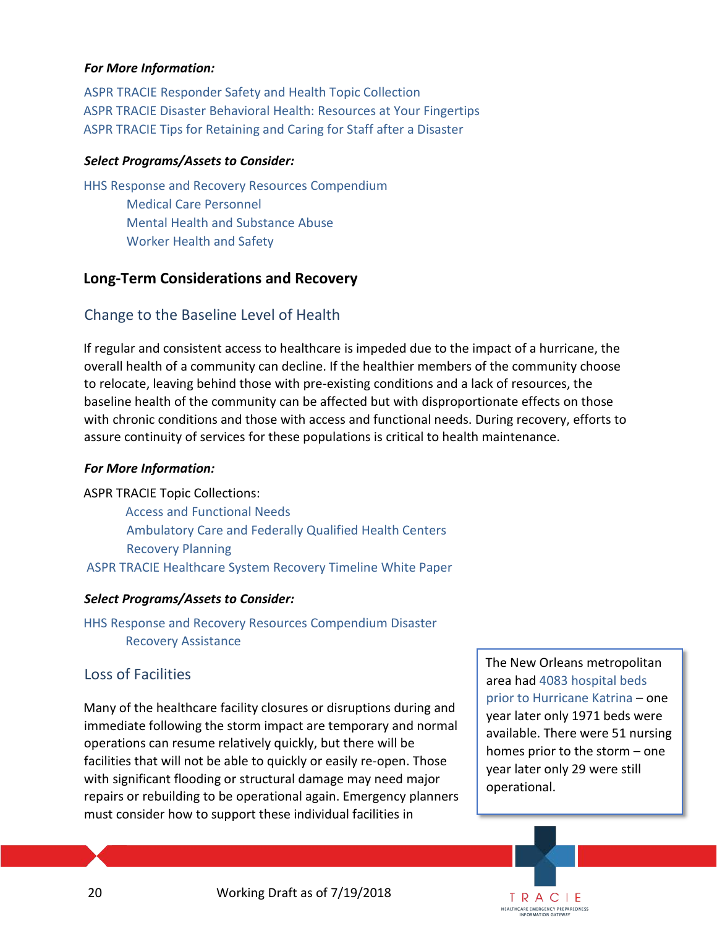#### *For More Information:*

[ASPR TRACIE Responder Safety and Health Topic Collection](https://asprtracie.hhs.gov/technical-resources/72/responder-safety-and-health/60) [ASPR TRACIE Disaster Behavioral Health: Resources at Your Fingertips](https://asprtracie.s3.amazonaws.com/documents/aspr-tracie-dbh-resources-at-your-fingertips.pdf) [ASPR TRACIE Tips for Retaining and Caring for Staff after a Disaster](https://asprtracie.s3.amazonaws.com/documents/tips-for-retaining-and-caring-for-staff-after-disaster.pdf) 

#### *Select Programs/Assets to Consider:*

[HHS Response and Recovery Resources Compendium](https://www.phe.gov/emergency/hhscapabilities/Pages/default.aspx) [Medical Care Personnel](https://www.phe.gov/emergency/hhscapabilities/Pages/Medical%20care%20personnel.aspx) [Mental Health and Substance Abuse](https://www.phe.gov/emergency/hhscapabilities/Pages/Mental%20health%20and%20substance%20abuse%20care.aspx) [Worker Health and Safety](https://www.phe.gov/emergency/hhscapabilities/Pages/Worker%20health%20and%20safety.aspx)

# <span id="page-19-0"></span>**Long-Term Considerations and Recovery**

# <span id="page-19-1"></span>Change to the Baseline Level of Health

If regular and consistent access to healthcare is impeded due to the impact of a hurricane, the overall health of a community can decline. If the healthier members of the community choose to relocate, leaving behind those with pre-existing conditions and a lack of resources, the baseline health of the community can be affected but with disproportionate effects on those with chronic conditions and those with access and functional needs. During recovery, efforts to assure continuity of services for these populations is critical to health maintenance.

## *For More Information:*

ASPR TRACIE Topic Collections: [Access and Functional Needs](https://asprtracie.hhs.gov/technical-resources/62/access-and-functional-needs-at-risk-populations-vulnerable-populations-cmist/60) [Ambulatory Care and Federally Qualified Health Centers](https://asprtracie.hhs.gov/technical-resources/49/ambulatory-care-and-federally-qualified-health-centers-fqhc/47) [Recovery Planning](https://asprtracie.hhs.gov/technical-resources/18/recovery-planning/16) [ASPR TRACIE Healthcare System Recovery](https://asprtracie.s3.amazonaws.com/documents/aspr-tracie-ta-healthcare-facility-recovery-timeline-white-paper.pdf) Timeline White Paper

## *Select Programs/Assets to Consider:*

[HHS Response and Recovery Resources Compendium](https://www.phe.gov/emergency/hhscapabilities/Pages/default.aspx) [Disaster](https://www.phe.gov/emergency/hhscapabilities/Pages/Disaster%20Recovery%20Assistance.aspx)  [Recovery Assistance](https://www.phe.gov/emergency/hhscapabilities/Pages/Disaster%20Recovery%20Assistance.aspx)

## <span id="page-19-2"></span>Loss of Facilities

Many of the healthcare facility closures or disruptions during and immediate following the storm impact are temporary and normal operations can resume relatively quickly, but there will be facilities that will not be able to quickly or easily re-open. Those with significant flooding or structural damage may need major repairs or rebuilding to be operational again. Emergency planners must consider how to support these individual facilities in

The New Orleans metropolitan area ha[d 4083 hospital beds](https://www.healthaffairs.org/doi/full/10.1377/hlthaff.25.w393)  [prior to Hurricane Katrina](https://www.healthaffairs.org/doi/full/10.1377/hlthaff.25.w393) – one year later only 1971 beds were available. There were 51 nursing homes prior to the storm – one year later only 29 were still operational.

TRACIE **HEALTHCARE EMERGENCY PREPAREDNESS** INFORMATION GATEWAY

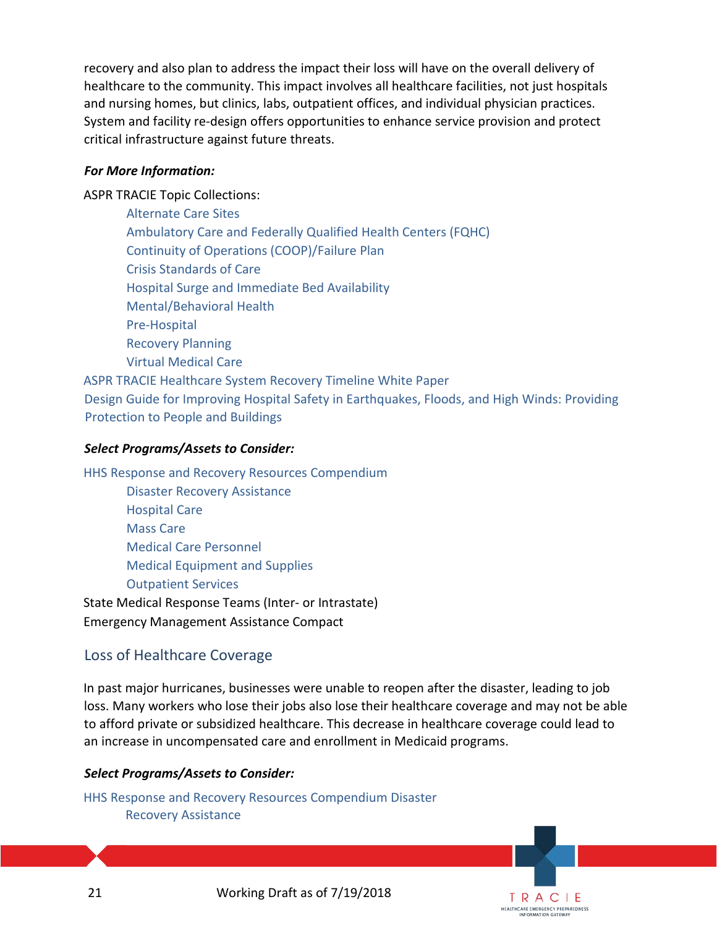recovery and also plan to address the impact their loss will have on the overall delivery of healthcare to the community. This impact involves all healthcare facilities, not just hospitals and nursing homes, but clinics, labs, outpatient offices, and individual physician practices. System and facility re-design offers opportunities to enhance service provision and protect critical infrastructure against future threats.

#### *For More Information:*

ASPR TRACIE Topic Collections:

 [Alternate Care Sites](https://asprtracie.hhs.gov/technical-resources/48/alternate-care-sites-including-shelter-medical-care/47) [Ambulatory Care and Federally Qualified Health Centers \(FQHC\)](https://asprtracie.hhs.gov/technical-resources/49/ambulatory-care-and-federally-qualified-health-centers-fqhc/47) [Continuity of Operations \(COOP\)/Failure Plan](https://asprtracie.hhs.gov/technical-resources/17/continuity-of-operations-coop-failure-plan/16) [Crisis Standards of Care](https://asprtracie.hhs.gov/technical-resources/63/crisis-standards-of-care/60) [Hospital Surge and Immediate Bed Availability](https://asprtracie.hhs.gov/technical-resources/58/hospital-surge-capacity-and-immediate-bed-availability/56) [Mental/Behavioral Health](https://asprtracie.hhs.gov/technical-resources/68/mental-behavioral-health-non-responders/60) [Pre-Hospital](https://asprtracie.hhs.gov/technical-resources/54/pre-hospital-emncy-medical-services-ems-rescue-first-responder-mass-gathering/47) [Recovery Planning](https://asprtracie.hhs.gov/technical-resources/18/recovery-planning/16) [Virtual Medical Care](https://asprtracie.hhs.gov/technical-resources/55/virtual-medical-care-telemedicine-nurse-triage-lines/47) [ASPR TRACIE Healthcare System Recovery Timeline White Paper](https://asprtracie.s3.amazonaws.com/documents/aspr-tracie-ta-healthcare-facility-recovery-timeline-white-paper.pdf)

[Design Guide for Improving Hospital Safety in Earthquakes, Floods, and High Winds: Providing](https://www.fema.gov/media-library/assets/documents/10672)  [Protection to People and Buildings](https://www.fema.gov/media-library/assets/documents/10672)

#### *Select Programs/Assets to Consider:*

[HHS Response and Recovery Resources Compendium](https://www.phe.gov/emergency/hhscapabilities/Pages/default.aspx) [Disaster Recovery Assistance](https://www.phe.gov/emergency/hhscapabilities/Pages/Disaster%20Recovery%20Assistance.aspx) [Hospital Care](https://www.phe.gov/emergency/hhscapabilities/Pages/Hospital%20care.aspx) [Mass Care](https://www.phe.gov/emergency/hhscapabilities/Pages/Outpatient%20services.aspx) [Medical Care Personnel](https://www.phe.gov/emergency/hhscapabilities/Pages/Medical%20care%20personnel.aspx) [Medical Equipment and](https://www.phe.gov/emergency/hhscapabilities/Pages/Medical%20equipment%20and%20supplies.aspx) Supplie[s](https://www.phe.gov/emergency/hhscapabilities/Pages/Medical%20equipment%20and%20supplies.aspx) [Outpatient Services](https://www.phe.gov/emergency/hhscapabilities/Pages/Outpatient%20services.aspx)

State Medical Response Teams (Inter- or Intrastate) Emergency Management Assistance Compact

# <span id="page-20-0"></span>Loss of Healthcare Coverage

In past major hurricanes, businesses were unable to reopen after the disaster, leading to job loss. Many workers who lose their jobs also lose their healthcare coverage and may not be able to afford private or subsidized healthcare. This decrease in healthcare coverage could lead to an increase in uncompensated care and enrollment in Medicaid programs.

> TRACIE **HEALTHCARE EMERGENCY PREPAREDNESS** INFORMATION GATEWAY

#### *Select Programs/Assets to Consider:*

[HHS Response and Recovery Resources Compendium](https://www.phe.gov/emergency/hhscapabilities/Pages/default.aspx) [Disaster](https://www.phe.gov/emergency/hhscapabilities/Pages/Disaster%20Recovery%20Assistance.aspx)  [Recovery Assistance](https://www.phe.gov/emergency/hhscapabilities/Pages/Disaster%20Recovery%20Assistance.aspx)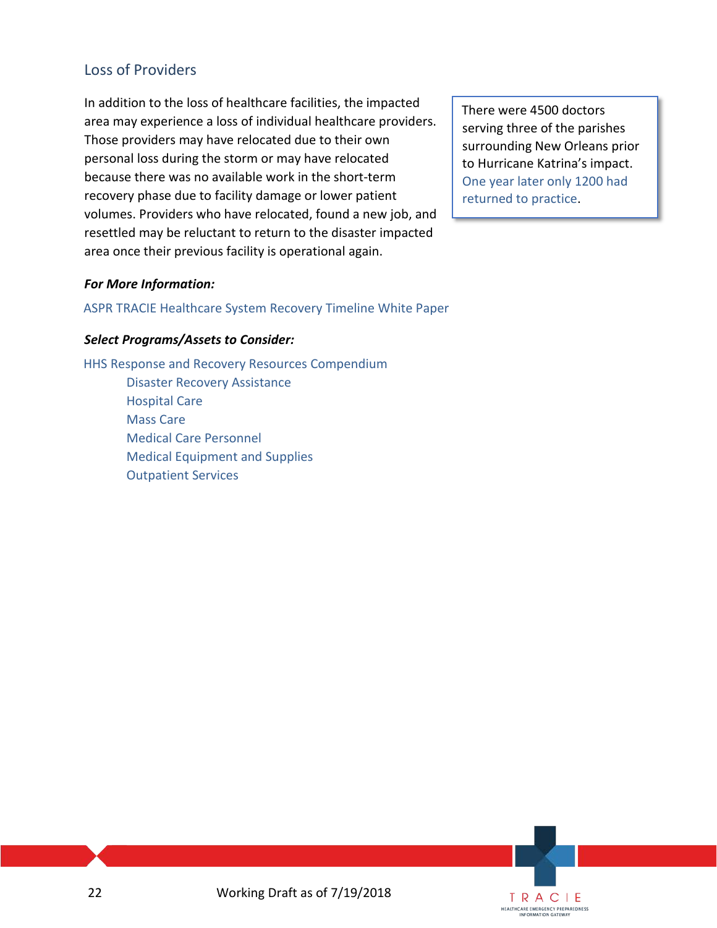# Loss of Providers

In addition to the loss of healthcare facilities, the impacted area may experience a loss of individual healthcare providers. Those providers may have relocated due to their own personal loss during the storm or may have relocated because there was no available work in the short-term recovery phase due to facility damage or lower patient volumes. Providers who have relocated, found a new job, and resettled may be reluctant to return to the disaster impacted area once their previous facility is operational again.

There were 4500 doctors serving three of the parishes surrounding New Orleans prior to Hurricane Katrina's impact. [One year later only 1200 had](https://www.healthaffairs.org/doi/full/10.1377/hlthaff.25.w393)  [returned to practice.](https://www.healthaffairs.org/doi/full/10.1377/hlthaff.25.w393)

#### *For More Information:*

[ASPR TRACIE Healthcare System Recovery Timeline White Paper](https://asprtracie.s3.amazonaws.com/documents/aspr-tracie-ta-healthcare-facility-recovery-timeline-white-paper.pdf)

#### *Select Programs/Assets to Consider:*

[HHS Response and Recovery Resources Compendium](https://www.phe.gov/emergency/hhscapabilities/Pages/default.aspx) [Disaster Recovery Assistance](https://www.phe.gov/emergency/hhscapabilities/Pages/Disaster%20Recovery%20Assistance.aspx) [Hospital Care](https://www.phe.gov/emergency/hhscapabilities/Pages/Hospital%20care.aspx) [Mass Care](https://www.phe.gov/emergency/hhscapabilities/Pages/Outpatient%20services.aspx) [Medical Care Personnel](https://www.phe.gov/emergency/hhscapabilities/Pages/Medical%20care%20personnel.aspx) [Medical Equipment and Supplies](https://www.phe.gov/emergency/hhscapabilities/Pages/Medical%20equipment%20and%20supplies.aspx) [Outpatient Services](https://www.phe.gov/emergency/hhscapabilities/Pages/Outpatient%20services.aspx)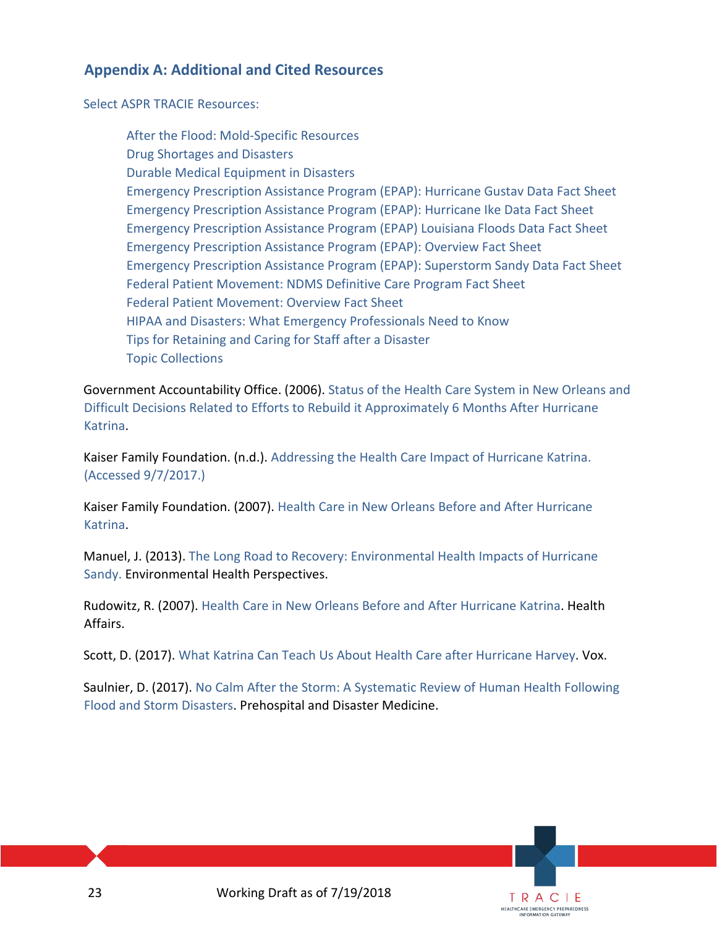# **Appendix A: Additional and Cited Resources**

[Select ASPR TRACIE](https://asprtracie.hhs.gov/tracie-resources) [Resources:](https://asprtracie.hhs.gov/tracie-resources)

[After the Flood: Mold-Specific Resources](https://asprtracie.s3.amazonaws.com/documents/after-the-flood-mold-specific-resources.pdf) [Drug Shortages and Disasters](https://asprtracie.hhs.gov/documents/tracie-drug-shortages-factsheet.pdf) [Durable Medical Equipment in Disasters](https://asprtracie.s3.amazonaws.com/documents/aspr-tracie-durable-medical-equipment-in-disasters.pdf) [Emergency Prescription Assistance Program \(EPAP\): Hurricane Gustav Data Fact Sheet](https://asprtracie.s3.amazonaws.com/documents/epap-hurricane-gustav-factsheet.pdf) [Emergency Prescription Assistance Program \(EPAP\): Hurricane Ike Data Fact Sheet](https://asprtracie.s3.amazonaws.com/documents/epap-hurricane-ike-factsheet.pdf) [Emergency Prescription Assistance Program \(EPAP\) Louisiana Floods Data Fact Sheet](https://asprtracie.s3.amazonaws.com/documents/epap-louisiana-floods-factsheet.pdf) [Emergency Prescription Assistance Program \(EPAP\): Overview Fact Sheet](https://asprtracie.s3.amazonaws.com/documents/emergency-prescription-assistance-program-factsheet.pdf) [Emergency Prescription Assistance Program \(EPAP\): Superstorm Sandy Data Fact Sheet](https://asprtracie.s3.amazonaws.com/documents/epap-superstorm-sandy-factsheet.pdf) [Federal Patient Movement: NDMS Definitive Care Program Fact Sheet](https://asprtracie.s3.amazonaws.com/documents/aspr-tracie-federal-patient-movement-definitive-care.pdf) [Federal Patient Movement: Overview Fact Sheet](https://asprtracie.s3.amazonaws.com/documents/aspr-tracie-federal-patient-movement-overview-factsheet.pdf) [HIPAA and Disasters: What Emergency Professionals Need to Know](https://asprtracie.s3.amazonaws.com/documents/aspr-tracie-hipaa-emergency-fact-sheet.pdf) [Tips for Retaining and Caring for Staff after a Disaster](https://asprtracie.s3.amazonaws.com/documents/tips-for-retaining-and-caring-for-staff-after-disaster.pdf) [Topic Collections](https://asprtracie.hhs.gov/technical-resources/topic-collection)

Government Accountability Office. (2006). [Status of the Health Care System in New Orleans and](http://www.gao.gov/products/GAO-06-576R)  [Difficult Decisions Related to Efforts to Rebuild it Approximately](http://www.gao.gov/products/GAO-06-576R) [6 Months After Hurricane](http://www.gao.gov/products/GAO-06-576R)  [Katrina.](http://www.gao.gov/products/GAO-06-576R) 

Kaiser Family Foundation. (n.d.). [Addressing the Health Care Impact of Hurricane Katrina.](https://kaiserfamilyfoundation.files.wordpress.com/2013/01/7387-2.pdf) (Accessed 9/7/2017.[\)](https://kaiserfamilyfoundation.files.wordpress.com/2013/01/7387-2.pdf)

Kaiser Family Foundation. (2007). [Health Care in New Orleans Before and After Hurricane](https://kaiserfamilyfoundation.files.wordpress.com/2013/01/7624.pdf)  [Katrina.](https://kaiserfamilyfoundation.files.wordpress.com/2013/01/7624.pdf) 

Manuel, J. (2013). [The Long Road to Recovery: Environmental Health Impacts of Hurricane](https://ehp.niehs.nih.gov/121-a152/)  [Sandy.](https://ehp.niehs.nih.gov/121-a152/) Environmental Health Perspectives.

Rudowitz, R. (2007). [Health Care in New Orleans Before and After Hurricane Katrina.](http://content.healthaffairs.org/content/25/5/w393.full) Health Affairs.

Scott, D. (2017). [What Katrina Can Teach Us About Health Care after Hurricane Harvey.](https://www.vox.com/health-care/2017/8/28/16216912/voxcare-katrina-lessons-health-care-after-hurricane-harvey) Vox.

Saulnier, D. (2017). [No Calm After the Storm: A Systematic Review of Human Health Following](https://www.cambridge.org/core/journals/prehospital-and-disaster-medicine/article/no-calm-after-the-storm-a-systematic-review-of-human-health-following-flood-and-storm-disasters/B1548783DC8CD5209C862A8CBCC068F3/core-reader)  [Flood and Storm Disasters.](https://www.cambridge.org/core/journals/prehospital-and-disaster-medicine/article/no-calm-after-the-storm-a-systematic-review-of-human-health-following-flood-and-storm-disasters/B1548783DC8CD5209C862A8CBCC068F3/core-reader) Prehospital and Disaster Medicine.

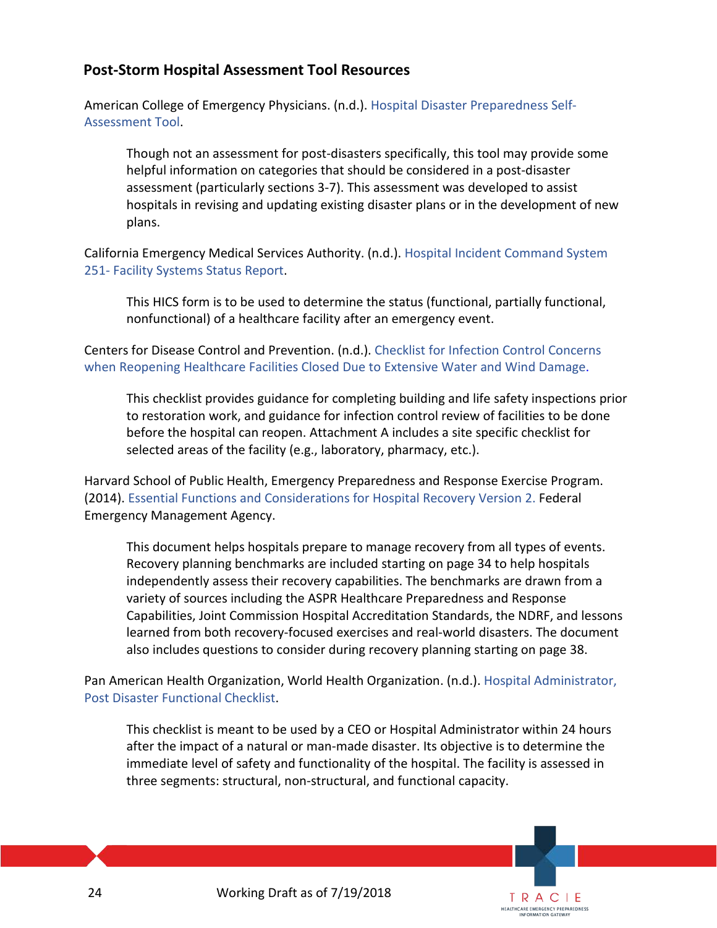# <span id="page-23-0"></span>**Post-Storm Hospital Assessment Tool Resources**

American College of Emergency Physicians. (n.d.). [Hospital Disaster Preparedness Self-](https://www.calhospitalprepare.org/sites/main/files/file-attachments/hospital_disaster_preparedness_self-assessment_tool.doc)[Assessment Tool.](https://www.calhospitalprepare.org/sites/main/files/file-attachments/hospital_disaster_preparedness_self-assessment_tool.doc)

Though not an assessment for post-disasters specifically, this tool may provide some helpful information on categories that should be considered in a post-disaster assessment (particularly sections 3-7). This assessment was developed to assist hospitals in revising and updating existing disaster plans or in the development of new plans.

California Emergency Medical Services Authority. (n.d.). [Hospital Incident Command System](http://www.emsa.ca.gov/Media/default/HICS/Forms/HICS%20251-Facility%20System%20Status%20Report_4.docx)  251- [Facility Systems Status Report.](http://www.emsa.ca.gov/Media/default/HICS/Forms/HICS%20251-Facility%20System%20Status%20Report_4.docx)

This HICS form is to be used to determine the status (functional, partially functional, nonfunctional) of a healthcare facility after an emergency event.

Centers for Disease Control and Prevention. (n.d.). [Checklist for Infection Control Concerns](https://www.cdc.gov/disasters/reopen_healthfacilities_checklist.html)  [when Reopening Healthcare Facilities Closed Due to Extensive Water and](https://www.cdc.gov/disasters/reopen_healthfacilities_checklist.html) Wind Damage.

This checklist provides guidance for completing building and life safety inspections prior to restoration work, and guidance for infection control review of facilities to be done before the hospital can reopen. Attachment A includes a site specific checklist for selected areas of the facility (e.g., laboratory, pharmacy, etc.).

Harvard School of Public Health, Emergency Preparedness and Response Exercise Program. (2014). [Essential Functions and Considerations for Hospital Recovery Version 2.](https://cdn1.sph.harvard.edu/wp-content/uploads/sites/1608/2014/09/HSPH-Emergency-Preparedness-Response-Exercise-Program_Hospital-Recovery.pdf) Federal Emergency Management Agency.

This document helps hospitals prepare to manage recovery from all types of events. Recovery planning benchmarks are included starting on page 34 to help hospitals independently assess their recovery capabilities. The benchmarks are drawn from a variety of sources including the ASPR Healthcare Preparedness and Response Capabilities, Joint Commission Hospital Accreditation Standards, the NDRF, and lessons learned from both recovery-focused exercises and real-world disasters. The document also includes questions to consider during recovery planning starting on page 38.

Pan American Health Organization, World Health Organization. (n.d.). [Hospital Administrator,](https://www.gfdrr.org/sites/default/files/HOSPITAL%20ADMINISTRATOR%2C%20Post%20Disaster%20Functional%20Checklist.pdf)  [Post Disaster Functional Checklist.](https://www.gfdrr.org/sites/default/files/HOSPITAL%20ADMINISTRATOR%2C%20Post%20Disaster%20Functional%20Checklist.pdf)

This checklist is meant to be used by a CEO or Hospital Administrator within 24 hours after the impact of a natural or man-made disaster. Its objective is to determine the immediate level of safety and functionality of the hospital. The facility is assessed in three segments: structural, non-structural, and functional capacity.

> TRACIE **HEALTHCARE EMERGENCY PREPAREDNESS**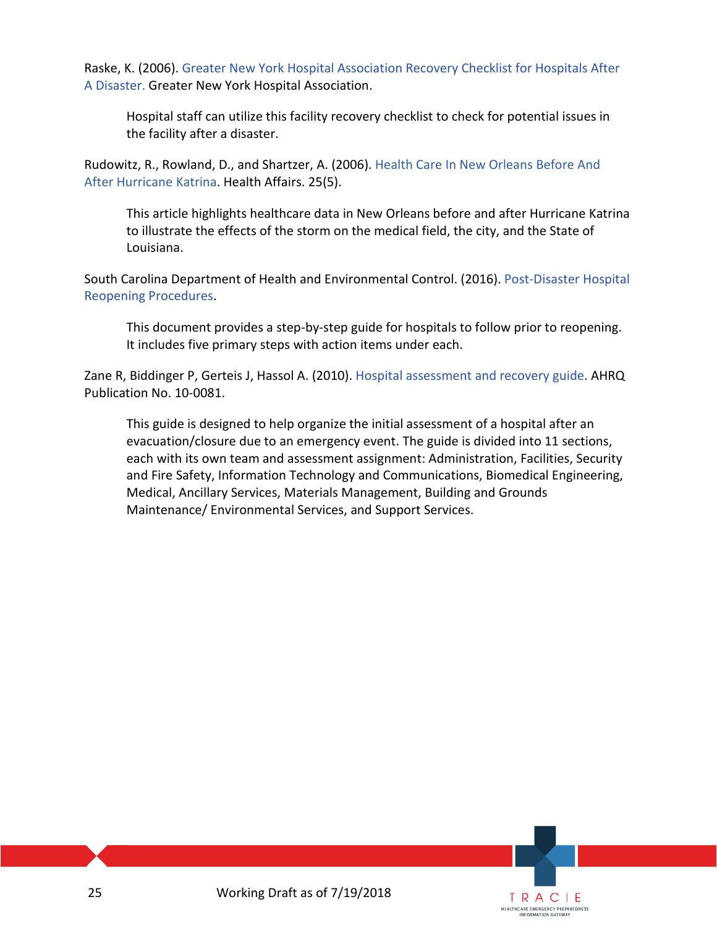Raske, K. (2006). [Greater New York Hospital Association Recovery Checklist for Hospitals After](http://gnyha.org/ResourceCenter/NewDownload/?id=13582&type=1)  [A Disaster. G](http://gnyha.org/ResourceCenter/NewDownload/?id=13582&type=1)reater New York Hospital Association.

Hospital staff can utilize this facility recovery checklist to check for potential issues in the facility after a disaster.

Rudowitz, R., Rowland, D., and Shartzer, A. (2006). [Health Care In New Orleans Before And](https://www.healthaffairs.org/doi/full/10.1377/hlthaff.25.w393)  [After Hurricane Katrina.](https://www.healthaffairs.org/doi/full/10.1377/hlthaff.25.w393) Health Affairs. 25(5).

This article highlights healthcare data in New Orleans before and after Hurricane Katrina to illustrate the effects of the storm on the medical field, the city, and the State of Louisiana.

South Carolina Department of Health and Environmental Control. (2016). [Post-Disaster Hospital](http://www.scdhec.gov/Health/Docs/POST-DISASTER_HOSPITAL_REOPENING_PROCEDURES.pdf)  [Reopening Procedures.](http://www.scdhec.gov/Health/Docs/POST-DISASTER_HOSPITAL_REOPENING_PROCEDURES.pdf)

This document provides a step-by-step guide for hospitals to follow prior to reopening. It includes five primary steps with action items under each.

Zane R, Biddinger P, Gerteis J, Hassol A. (2010). [Hospital assessment and recovery guide.](https://archive.ahrq.gov/prep/hosprecovery/hosprecovery.pdf) AHRQ Publication No. 10-0081.

This guide is designed to help organize the initial assessment of a hospital after an evacuation/closure due to an emergency event. The guide is divided into 11 sections, each with its own team and assessment assignment: Administration, Facilities, Security and Fire Safety, Information Technology and Communications, Biomedical Engineering, Medical, Ancillary Services, Materials Management, Building and Grounds Maintenance/ Environmental Services, and Support Services.